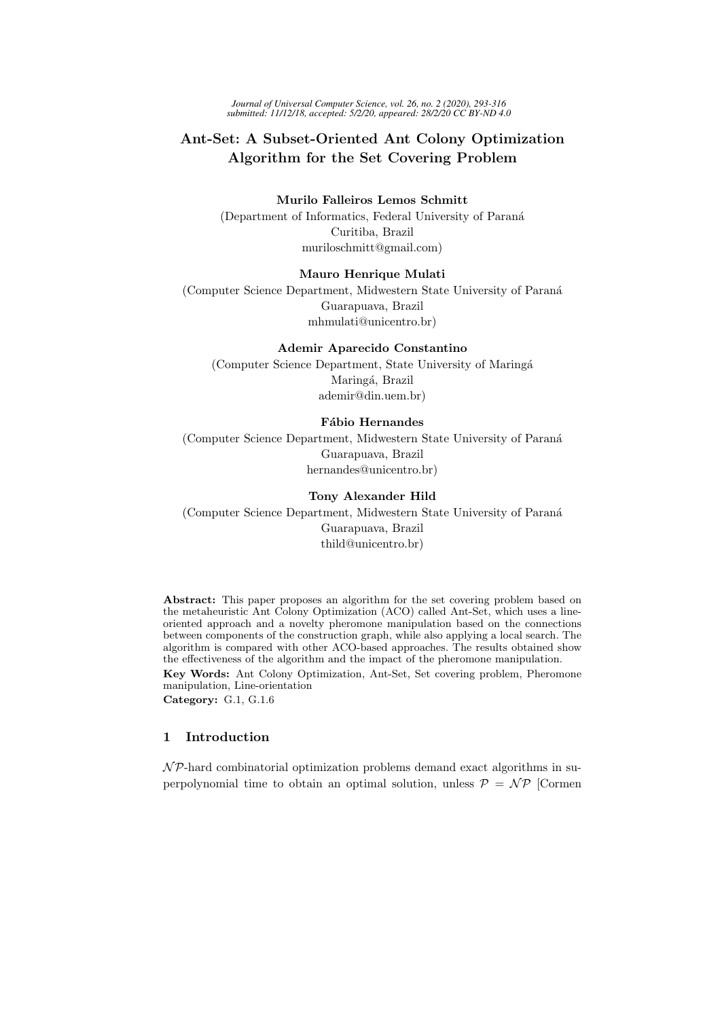*Journal of Universal Computer Science, vol. 26, no. 2 (2020), 293-316 submitted: 11/12/18, accepted: 5/2/20, appeared: 28/2/20 CC BY-ND 4.0*

# Ant-Set: A Subset-Oriented Ant Colony Optimization Algorithm for the Set Covering Problem

### Murilo Falleiros Lemos Schmitt

(Department of Informatics, Federal University of Paran´a Curitiba, Brazil muriloschmitt@gmail.com)

### Mauro Henrique Mulati

(Computer Science Department, Midwestern State University of Paran´a Guarapuava, Brazil mhmulati@unicentro.br)

#### Ademir Aparecido Constantino

(Computer Science Department, State University of Maring´a Maringá, Brazil ademir@din.uem.br)

### Fábio Hernandes

(Computer Science Department, Midwestern State University of Paran´a Guarapuava, Brazil hernandes@unicentro.br)

## Tony Alexander Hild

(Computer Science Department, Midwestern State University of Paran´a Guarapuava, Brazil thild@unicentro.br)

Abstract: This paper proposes an algorithm for the set covering problem based on the metaheuristic Ant Colony Optimization (ACO) called Ant-Set, which uses a lineoriented approach and a novelty pheromone manipulation based on the connections between components of the construction graph, while also applying a local search. The algorithm is compared with other ACO-based approaches. The results obtained show the effectiveness of the algorithm and the impact of the pheromone manipulation. Key Words: Ant Colony Optimization, Ant-Set, Set covering problem, Pheromone manipulation, Line-orientation

Category: G.1, G.1.6

# 1 Introduction

 $\mathcal{NP}$ -hard combinatorial optimization problems demand exact algorithms in superpolynomial time to obtain an optimal solution, unless  $P = \mathcal{NP}$  [Cormen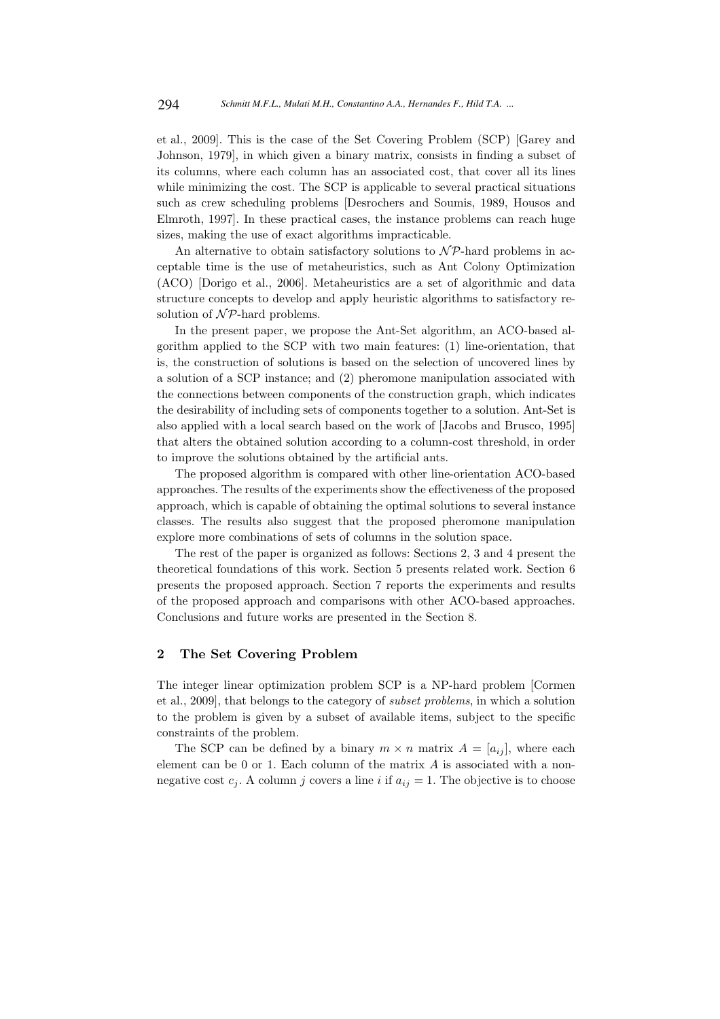et al., 2009]. This is the case of the Set Covering Problem (SCP) [Garey and Johnson, 1979], in which given a binary matrix, consists in finding a subset of its columns, where each column has an associated cost, that cover all its lines while minimizing the cost. The SCP is applicable to several practical situations such as crew scheduling problems [Desrochers and Soumis, 1989, Housos and Elmroth, 1997]. In these practical cases, the instance problems can reach huge sizes, making the use of exact algorithms impracticable.

An alternative to obtain satisfactory solutions to  $\mathcal{NP}$ -hard problems in acceptable time is the use of metaheuristics, such as Ant Colony Optimization (ACO) [Dorigo et al., 2006]. Metaheuristics are a set of algorithmic and data structure concepts to develop and apply heuristic algorithms to satisfactory resolution of  $\mathcal{NP}$ -hard problems.

In the present paper, we propose the Ant-Set algorithm, an ACO-based algorithm applied to the SCP with two main features: (1) line-orientation, that is, the construction of solutions is based on the selection of uncovered lines by a solution of a SCP instance; and (2) pheromone manipulation associated with the connections between components of the construction graph, which indicates the desirability of including sets of components together to a solution. Ant-Set is also applied with a local search based on the work of [Jacobs and Brusco, 1995] that alters the obtained solution according to a column-cost threshold, in order to improve the solutions obtained by the artificial ants.

The proposed algorithm is compared with other line-orientation ACO-based approaches. The results of the experiments show the effectiveness of the proposed approach, which is capable of obtaining the optimal solutions to several instance classes. The results also suggest that the proposed pheromone manipulation explore more combinations of sets of columns in the solution space.

The rest of the paper is organized as follows: Sections 2, 3 and 4 present the theoretical foundations of this work. Section 5 presents related work. Section 6 presents the proposed approach. Section 7 reports the experiments and results of the proposed approach and comparisons with other ACO-based approaches. Conclusions and future works are presented in the Section 8.

### 2 The Set Covering Problem

The integer linear optimization problem SCP is a NP-hard problem [Cormen et al., 2009], that belongs to the category of subset problems, in which a solution to the problem is given by a subset of available items, subject to the specific constraints of the problem.

The SCP can be defined by a binary  $m \times n$  matrix  $A = [a_{ij}]$ , where each element can be 0 or 1. Each column of the matrix A is associated with a nonnegative cost  $c_j$ . A column j covers a line i if  $a_{ij} = 1$ . The objective is to choose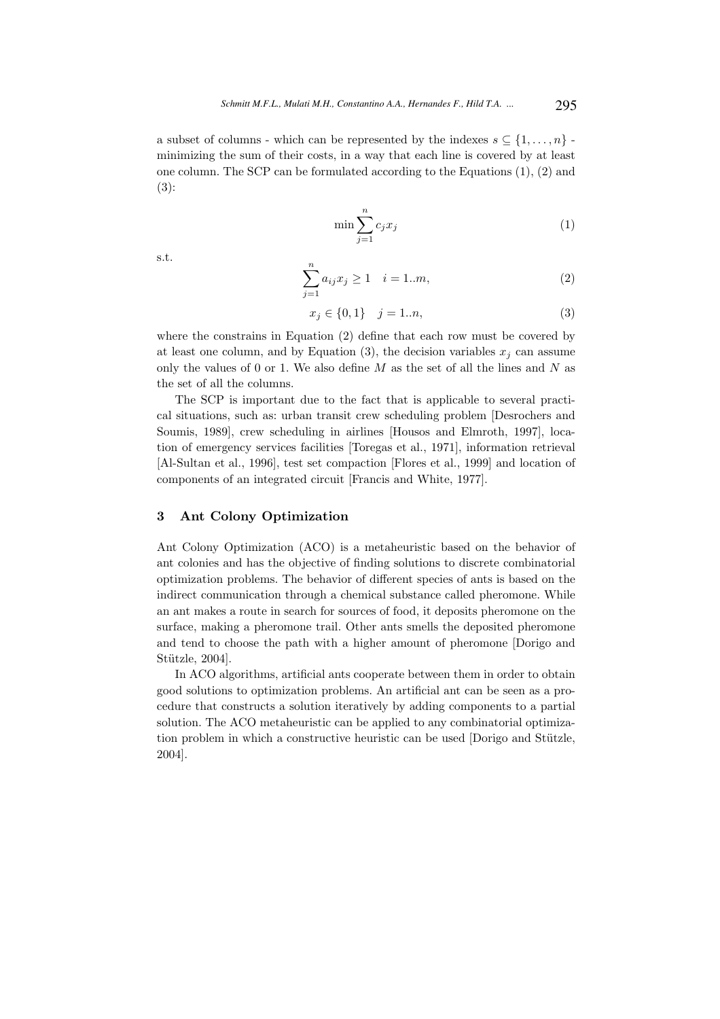a subset of columns - which can be represented by the indexes  $s \subseteq \{1, \ldots, n\}$ . minimizing the sum of their costs, in a way that each line is covered by at least one column. The SCP can be formulated according to the Equations (1), (2) and (3):

$$
\min \sum_{j=1}^{n} c_j x_j \tag{1}
$$

s.t.

$$
\sum_{j=1}^{n} a_{ij} x_j \ge 1 \quad i = 1..m,
$$
\n(2)

$$
x_j \in \{0, 1\} \quad j = 1..n,\tag{3}
$$

where the constrains in Equation (2) define that each row must be covered by at least one column, and by Equation (3), the decision variables  $x_i$  can assume only the values of 0 or 1. We also define  $M$  as the set of all the lines and  $N$  as the set of all the columns.

The SCP is important due to the fact that is applicable to several practical situations, such as: urban transit crew scheduling problem [Desrochers and Soumis, 1989], crew scheduling in airlines [Housos and Elmroth, 1997], location of emergency services facilities [Toregas et al., 1971], information retrieval [Al-Sultan et al., 1996], test set compaction [Flores et al., 1999] and location of components of an integrated circuit [Francis and White, 1977].

### 3 Ant Colony Optimization

Ant Colony Optimization (ACO) is a metaheuristic based on the behavior of ant colonies and has the objective of finding solutions to discrete combinatorial optimization problems. The behavior of different species of ants is based on the indirect communication through a chemical substance called pheromone. While an ant makes a route in search for sources of food, it deposits pheromone on the surface, making a pheromone trail. Other ants smells the deposited pheromone and tend to choose the path with a higher amount of pheromone [Dorigo and Stützle, 2004].

In ACO algorithms, artificial ants cooperate between them in order to obtain good solutions to optimization problems. An artificial ant can be seen as a procedure that constructs a solution iteratively by adding components to a partial solution. The ACO metaheuristic can be applied to any combinatorial optimization problem in which a constructive heuristic can be used [Dorigo and Stützle, 2004].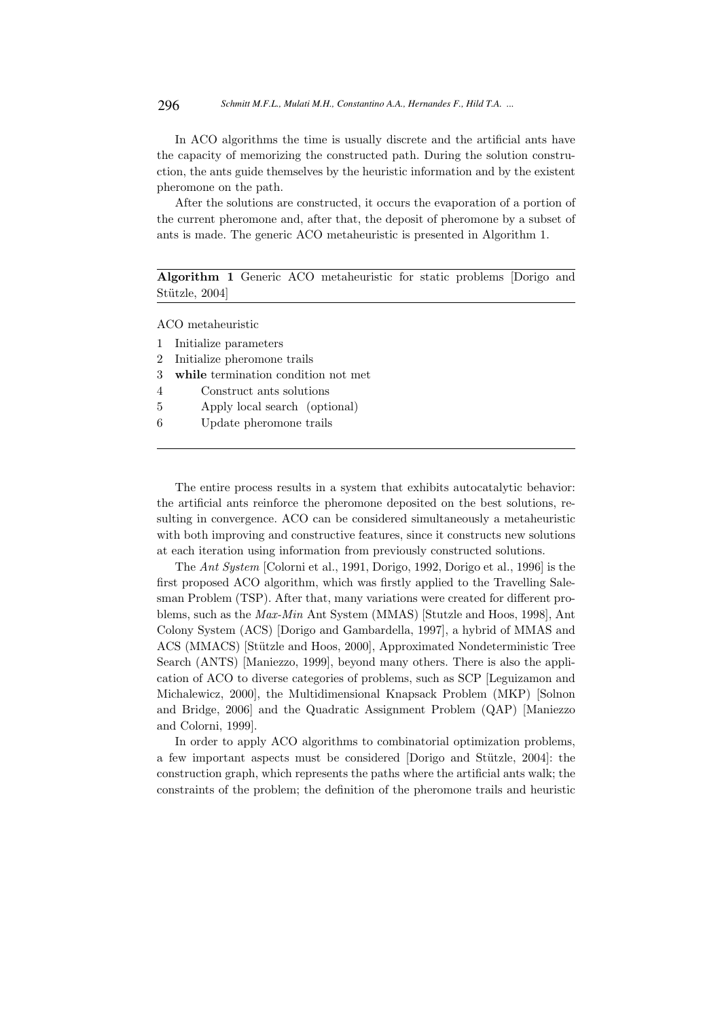In ACO algorithms the time is usually discrete and the artificial ants have the capacity of memorizing the constructed path. During the solution construction, the ants guide themselves by the heuristic information and by the existent pheromone on the path.

After the solutions are constructed, it occurs the evaporation of a portion of the current pheromone and, after that, the deposit of pheromone by a subset of ants is made. The generic ACO metaheuristic is presented in Algorithm 1.

Algorithm 1 Generic ACO metaheuristic for static problems [Dorigo and Stützle, 2004]

ACO metaheuristic

|   | 1 Initialize parameters               |
|---|---------------------------------------|
|   | 2 Initialize pheromone trails         |
|   | 3 while termination condition not met |
| 4 | Construct ants solutions              |
| 5 | Apply local search (optional)         |
| 6 | Update pheromone trails               |
|   |                                       |

The entire process results in a system that exhibits autocatalytic behavior: the artificial ants reinforce the pheromone deposited on the best solutions, resulting in convergence. ACO can be considered simultaneously a metaheuristic with both improving and constructive features, since it constructs new solutions at each iteration using information from previously constructed solutions.

The Ant System [Colorni et al., 1991, Dorigo, 1992, Dorigo et al., 1996] is the first proposed ACO algorithm, which was firstly applied to the Travelling Salesman Problem (TSP). After that, many variations were created for different problems, such as the Max-Min Ant System (MMAS) [Stutzle and Hoos, 1998], Ant Colony System (ACS) [Dorigo and Gambardella, 1997], a hybrid of MMAS and ACS (MMACS) [Stützle and Hoos, 2000], Approximated Nondeterministic Tree Search (ANTS) [Maniezzo, 1999], beyond many others. There is also the application of ACO to diverse categories of problems, such as SCP [Leguizamon and Michalewicz, 2000], the Multidimensional Knapsack Problem (MKP) [Solnon and Bridge, 2006] and the Quadratic Assignment Problem (QAP) [Maniezzo and Colorni, 1999].

In order to apply ACO algorithms to combinatorial optimization problems, a few important aspects must be considered [Dorigo and Stützle, 2004]: the construction graph, which represents the paths where the artificial ants walk; the constraints of the problem; the definition of the pheromone trails and heuristic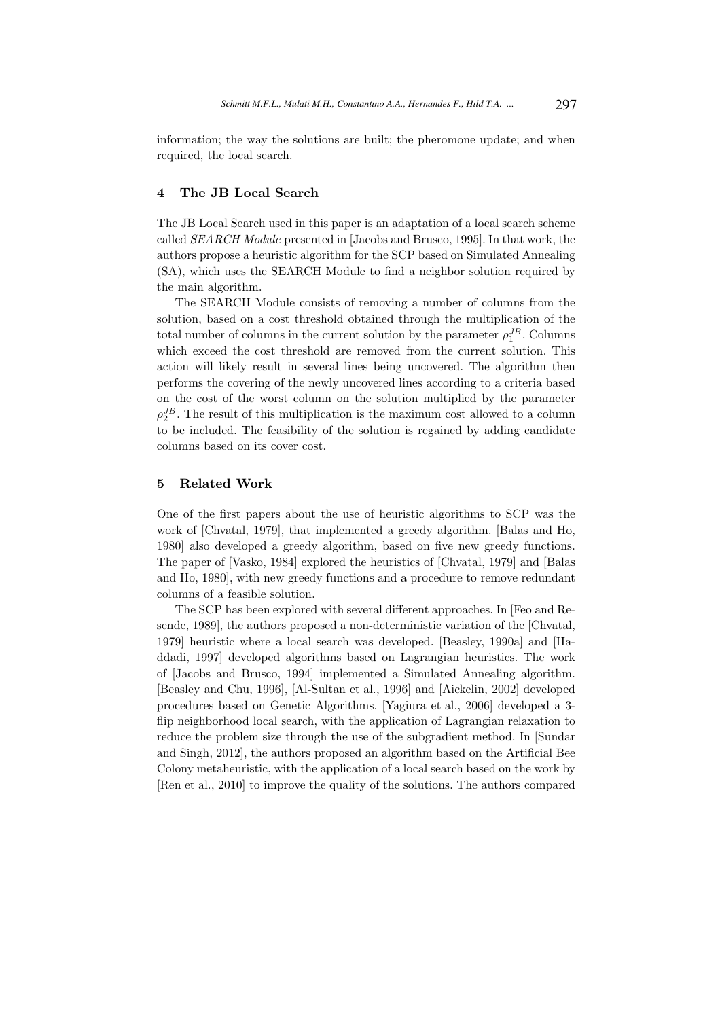information; the way the solutions are built; the pheromone update; and when required, the local search.

### 4 The JB Local Search

The JB Local Search used in this paper is an adaptation of a local search scheme called SEARCH Module presented in [Jacobs and Brusco, 1995]. In that work, the authors propose a heuristic algorithm for the SCP based on Simulated Annealing (SA), which uses the SEARCH Module to find a neighbor solution required by the main algorithm.

The SEARCH Module consists of removing a number of columns from the solution, based on a cost threshold obtained through the multiplication of the total number of columns in the current solution by the parameter  $\rho_1^{JB}$ . Columns which exceed the cost threshold are removed from the current solution. This action will likely result in several lines being uncovered. The algorithm then performs the covering of the newly uncovered lines according to a criteria based on the cost of the worst column on the solution multiplied by the parameter  $\rho_2^{JB}$ . The result of this multiplication is the maximum cost allowed to a column to be included. The feasibility of the solution is regained by adding candidate columns based on its cover cost.

### 5 Related Work

One of the first papers about the use of heuristic algorithms to SCP was the work of [Chvatal, 1979], that implemented a greedy algorithm. [Balas and Ho, 1980] also developed a greedy algorithm, based on five new greedy functions. The paper of [Vasko, 1984] explored the heuristics of [Chvatal, 1979] and [Balas and Ho, 1980], with new greedy functions and a procedure to remove redundant columns of a feasible solution.

The SCP has been explored with several different approaches. In [Feo and Resende, 1989], the authors proposed a non-deterministic variation of the [Chvatal, 1979] heuristic where a local search was developed. [Beasley, 1990a] and [Haddadi, 1997] developed algorithms based on Lagrangian heuristics. The work of [Jacobs and Brusco, 1994] implemented a Simulated Annealing algorithm. [Beasley and Chu, 1996], [Al-Sultan et al., 1996] and [Aickelin, 2002] developed procedures based on Genetic Algorithms. [Yagiura et al., 2006] developed a 3 flip neighborhood local search, with the application of Lagrangian relaxation to reduce the problem size through the use of the subgradient method. In [Sundar and Singh, 2012], the authors proposed an algorithm based on the Artificial Bee Colony metaheuristic, with the application of a local search based on the work by [Ren et al., 2010] to improve the quality of the solutions. The authors compared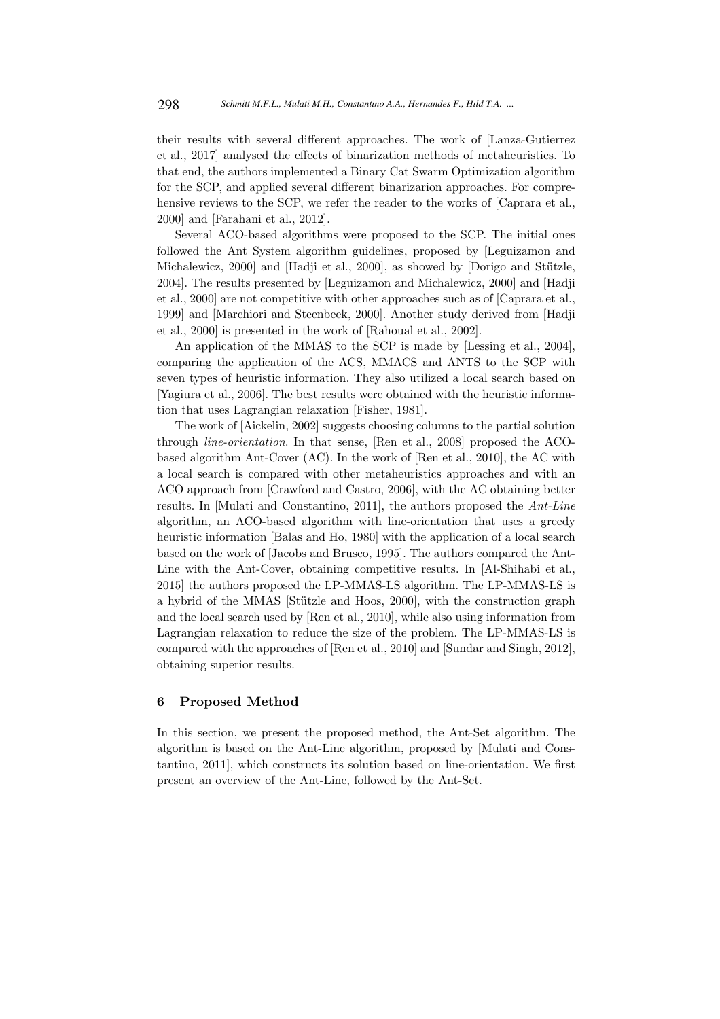their results with several different approaches. The work of [Lanza-Gutierrez et al., 2017] analysed the effects of binarization methods of metaheuristics. To that end, the authors implemented a Binary Cat Swarm Optimization algorithm for the SCP, and applied several different binarizarion approaches. For comprehensive reviews to the SCP, we refer the reader to the works of [Caprara et al., 2000] and [Farahani et al., 2012].

Several ACO-based algorithms were proposed to the SCP. The initial ones followed the Ant System algorithm guidelines, proposed by [Leguizamon and Michalewicz,  $2000$ ] and [Hadji et al.,  $2000$ ], as showed by [Dorigo and Stützle, 2004]. The results presented by [Leguizamon and Michalewicz, 2000] and [Hadji et al., 2000] are not competitive with other approaches such as of [Caprara et al., 1999] and [Marchiori and Steenbeek, 2000]. Another study derived from [Hadji et al., 2000] is presented in the work of [Rahoual et al., 2002].

An application of the MMAS to the SCP is made by [Lessing et al., 2004], comparing the application of the ACS, MMACS and ANTS to the SCP with seven types of heuristic information. They also utilized a local search based on [Yagiura et al., 2006]. The best results were obtained with the heuristic information that uses Lagrangian relaxation [Fisher, 1981].

The work of [Aickelin, 2002] suggests choosing columns to the partial solution through line-orientation. In that sense, [Ren et al., 2008] proposed the ACObased algorithm Ant-Cover (AC). In the work of [Ren et al., 2010], the AC with a local search is compared with other metaheuristics approaches and with an ACO approach from [Crawford and Castro, 2006], with the AC obtaining better results. In [Mulati and Constantino, 2011], the authors proposed the Ant-Line algorithm, an ACO-based algorithm with line-orientation that uses a greedy heuristic information [Balas and Ho, 1980] with the application of a local search based on the work of [Jacobs and Brusco, 1995]. The authors compared the Ant-Line with the Ant-Cover, obtaining competitive results. In [Al-Shihabi et al., 2015] the authors proposed the LP-MMAS-LS algorithm. The LP-MMAS-LS is a hybrid of the MMAS [Stützle and Hoos, 2000], with the construction graph and the local search used by [Ren et al., 2010], while also using information from Lagrangian relaxation to reduce the size of the problem. The LP-MMAS-LS is compared with the approaches of [Ren et al., 2010] and [Sundar and Singh, 2012], obtaining superior results.

### 6 Proposed Method

In this section, we present the proposed method, the Ant-Set algorithm. The algorithm is based on the Ant-Line algorithm, proposed by [Mulati and Constantino, 2011], which constructs its solution based on line-orientation. We first present an overview of the Ant-Line, followed by the Ant-Set.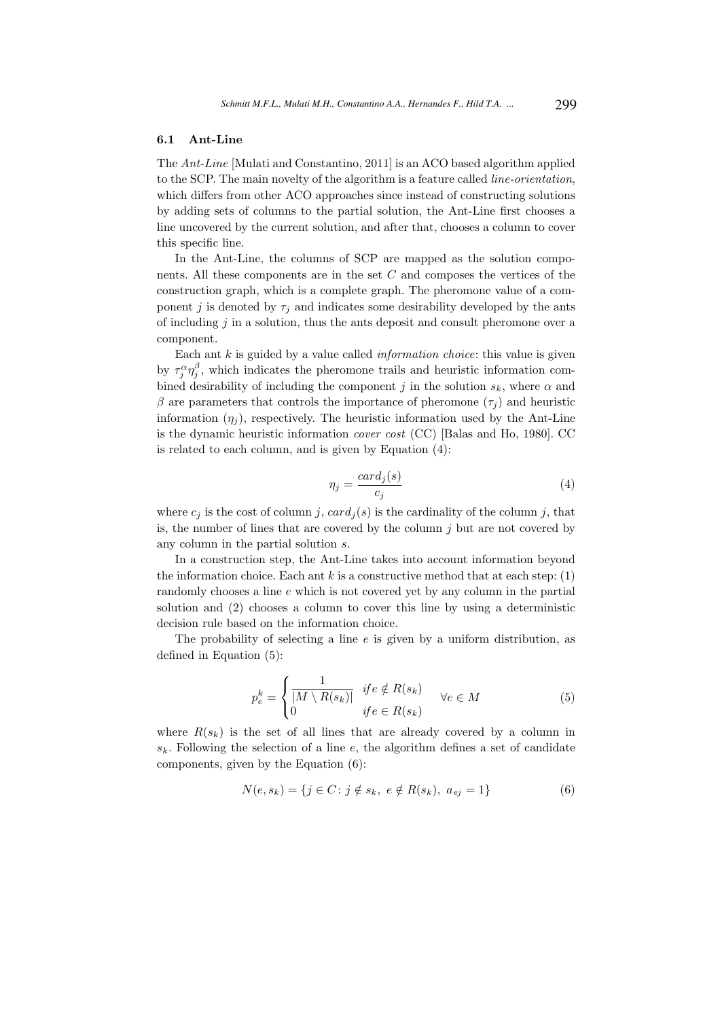#### 6.1 Ant-Line

The Ant-Line [Mulati and Constantino, 2011] is an ACO based algorithm applied to the SCP. The main novelty of the algorithm is a feature called line-orientation, which differs from other ACO approaches since instead of constructing solutions by adding sets of columns to the partial solution, the Ant-Line first chooses a line uncovered by the current solution, and after that, chooses a column to cover this specific line.

In the Ant-Line, the columns of SCP are mapped as the solution components. All these components are in the set C and composes the vertices of the construction graph, which is a complete graph. The pheromone value of a component j is denoted by  $\tau_i$  and indicates some desirability developed by the ants of including  $j$  in a solution, thus the ants deposit and consult pheromone over a component.

Each ant  $k$  is guided by a value called *information choice*: this value is given by  $\tau_j^{\alpha} \eta_j^{\beta}$ , which indicates the pheromone trails and heuristic information combined desirability of including the component j in the solution  $s_k$ , where  $\alpha$  and β are parameters that controls the importance of pheromone  $(τ<sub>i</sub>)$  and heuristic information  $(\eta_i)$ , respectively. The heuristic information used by the Ant-Line is the dynamic heuristic information cover cost (CC) [Balas and Ho, 1980]. CC is related to each column, and is given by Equation (4):

$$
\eta_j = \frac{card_j(s)}{c_j} \tag{4}
$$

where  $c_j$  is the cost of column j,  $card_j(s)$  is the cardinality of the column j, that is, the number of lines that are covered by the column  $j$  but are not covered by any column in the partial solution s.

In a construction step, the Ant-Line takes into account information beyond the information choice. Each ant  $k$  is a constructive method that at each step: (1) randomly chooses a line e which is not covered yet by any column in the partial solution and (2) chooses a column to cover this line by using a deterministic decision rule based on the information choice.

The probability of selecting a line  $e$  is given by a uniform distribution, as defined in Equation (5):

$$
p_e^k = \begin{cases} \frac{1}{|M \setminus R(s_k)|} & \text{if } e \notin R(s_k) \\ 0 & \text{if } e \in R(s_k) \end{cases} \quad \forall e \in M \tag{5}
$$

where  $R(s_k)$  is the set of all lines that are already covered by a column in  $s_k$ . Following the selection of a line e, the algorithm defines a set of candidate components, given by the Equation (6):

$$
N(e, s_k) = \{ j \in C : j \notin s_k, e \notin R(s_k), a_{ej} = 1 \}
$$
 (6)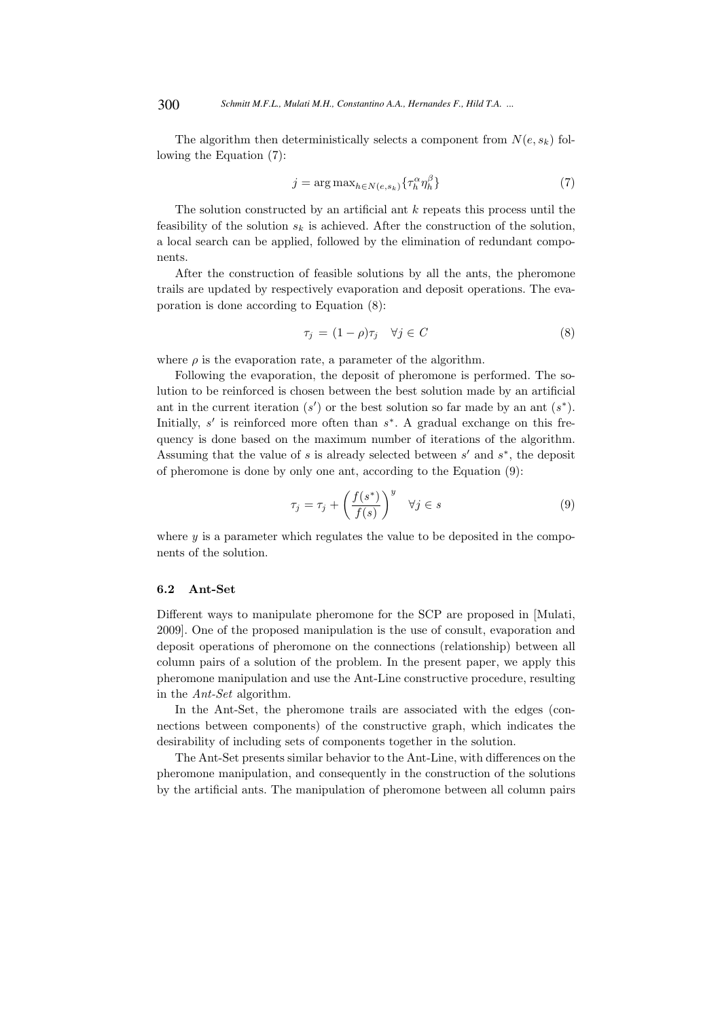The algorithm then deterministically selects a component from  $N(e, s_k)$  following the Equation (7):

$$
j = \arg \max_{h \in N(e, s_k)} \{ \tau_h^{\alpha} \eta_h^{\beta} \}
$$
 (7)

The solution constructed by an artificial ant  $k$  repeats this process until the feasibility of the solution  $s_k$  is achieved. After the construction of the solution, a local search can be applied, followed by the elimination of redundant components.

After the construction of feasible solutions by all the ants, the pheromone trails are updated by respectively evaporation and deposit operations. The evaporation is done according to Equation (8):

$$
\tau_j = (1 - \rho)\tau_j \quad \forall j \in C \tag{8}
$$

where  $\rho$  is the evaporation rate, a parameter of the algorithm.

Following the evaporation, the deposit of pheromone is performed. The solution to be reinforced is chosen between the best solution made by an artificial ant in the current iteration  $(s')$  or the best solution so far made by an ant  $(s^*)$ . Initially,  $s'$  is reinforced more often than  $s^*$ . A gradual exchange on this frequency is done based on the maximum number of iterations of the algorithm. Assuming that the value of  $s$  is already selected between  $s'$  and  $s^*$ , the deposit of pheromone is done by only one ant, according to the Equation (9):

$$
\tau_j = \tau_j + \left(\frac{f(s^*)}{f(s)}\right)^y \quad \forall j \in s \tag{9}
$$

where  $y$  is a parameter which regulates the value to be deposited in the components of the solution.

### 6.2 Ant-Set

Different ways to manipulate pheromone for the SCP are proposed in [Mulati, 2009]. One of the proposed manipulation is the use of consult, evaporation and deposit operations of pheromone on the connections (relationship) between all column pairs of a solution of the problem. In the present paper, we apply this pheromone manipulation and use the Ant-Line constructive procedure, resulting in the Ant-Set algorithm.

In the Ant-Set, the pheromone trails are associated with the edges (connections between components) of the constructive graph, which indicates the desirability of including sets of components together in the solution.

The Ant-Set presents similar behavior to the Ant-Line, with differences on the pheromone manipulation, and consequently in the construction of the solutions by the artificial ants. The manipulation of pheromone between all column pairs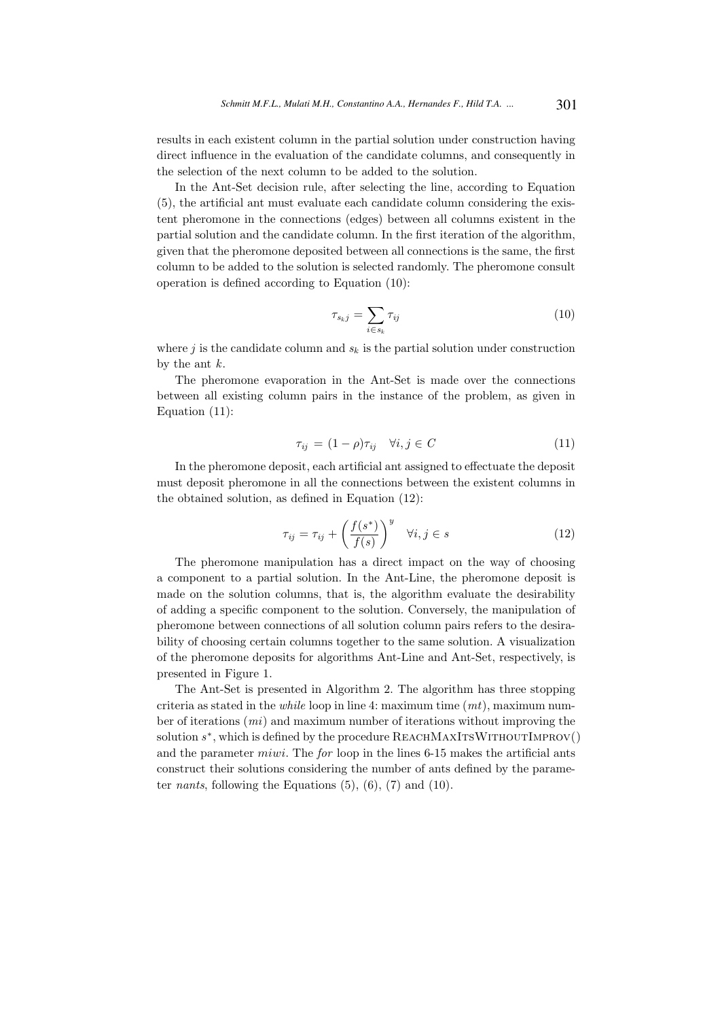results in each existent column in the partial solution under construction having direct influence in the evaluation of the candidate columns, and consequently in the selection of the next column to be added to the solution.

In the Ant-Set decision rule, after selecting the line, according to Equation (5), the artificial ant must evaluate each candidate column considering the existent pheromone in the connections (edges) between all columns existent in the partial solution and the candidate column. In the first iteration of the algorithm, given that the pheromone deposited between all connections is the same, the first column to be added to the solution is selected randomly. The pheromone consult operation is defined according to Equation (10):

$$
\tau_{s_k j} = \sum_{i \in s_k} \tau_{ij} \tag{10}
$$

where j is the candidate column and  $s_k$  is the partial solution under construction by the ant  $k$ .

The pheromone evaporation in the Ant-Set is made over the connections between all existing column pairs in the instance of the problem, as given in Equation (11):

$$
\tau_{ij} = (1 - \rho)\tau_{ij} \quad \forall i, j \in C \tag{11}
$$

In the pheromone deposit, each artificial ant assigned to effectuate the deposit must deposit pheromone in all the connections between the existent columns in the obtained solution, as defined in Equation (12):

$$
\tau_{ij} = \tau_{ij} + \left(\frac{f(s^*)}{f(s)}\right)^y \quad \forall i, j \in s \tag{12}
$$

The pheromone manipulation has a direct impact on the way of choosing a component to a partial solution. In the Ant-Line, the pheromone deposit is made on the solution columns, that is, the algorithm evaluate the desirability of adding a specific component to the solution. Conversely, the manipulation of pheromone between connections of all solution column pairs refers to the desirability of choosing certain columns together to the same solution. A visualization of the pheromone deposits for algorithms Ant-Line and Ant-Set, respectively, is presented in Figure 1.

The Ant-Set is presented in Algorithm 2. The algorithm has three stopping criteria as stated in the *while* loop in line 4: maximum time  $(mt)$ , maximum number of iterations (mi) and maximum number of iterations without improving the solution  $s^*$ , which is defined by the procedure  $\text{REACHMAXITSWITHOUTMPROV}()$ and the parameter miwi. The for loop in the lines 6-15 makes the artificial ants construct their solutions considering the number of ants defined by the parameter *nants*, following the Equations  $(5)$ ,  $(6)$ ,  $(7)$  and  $(10)$ .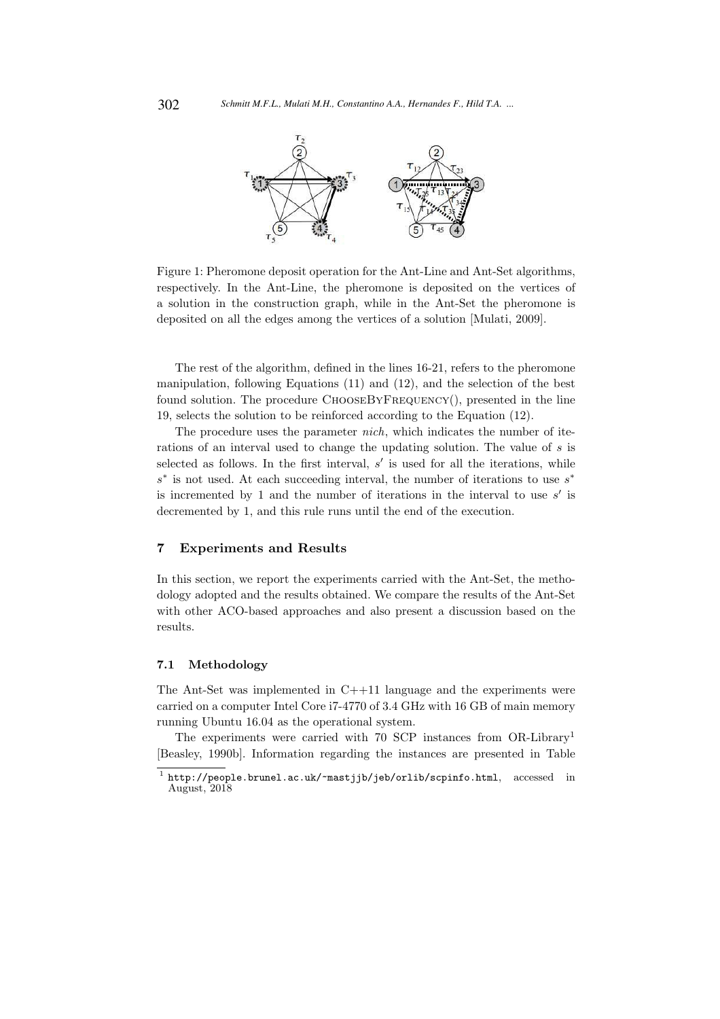

Figure 1: Pheromone deposit operation for the Ant-Line and Ant-Set algorithms, respectively. In the Ant-Line, the pheromone is deposited on the vertices of a solution in the construction graph, while in the Ant-Set the pheromone is deposited on all the edges among the vertices of a solution [Mulati, 2009].

The rest of the algorithm, defined in the lines 16-21, refers to the pheromone manipulation, following Equations (11) and (12), and the selection of the best found solution. The procedure ChooseByFrequency(), presented in the line 19, selects the solution to be reinforced according to the Equation (12).

The procedure uses the parameter *nich*, which indicates the number of iterations of an interval used to change the updating solution. The value of s is selected as follows. In the first interval,  $s'$  is used for all the iterations, while  $s^*$  is not used. At each succeeding interval, the number of iterations to use  $s^*$ is incremented by 1 and the number of iterations in the interval to use  $s'$  is decremented by 1, and this rule runs until the end of the execution.

### 7 Experiments and Results

In this section, we report the experiments carried with the Ant-Set, the methodology adopted and the results obtained. We compare the results of the Ant-Set with other ACO-based approaches and also present a discussion based on the results.

#### 7.1 Methodology

The Ant-Set was implemented in C++11 language and the experiments were carried on a computer Intel Core i7-4770 of 3.4 GHz with 16 GB of main memory running Ubuntu 16.04 as the operational system.

The experiments were carried with 70 SCP instances from OR-Library<sup>1</sup> [Beasley, 1990b]. Information regarding the instances are presented in Table

<sup>1</sup> http://people.brunel.ac.uk/~mastjjb/jeb/orlib/scpinfo.html, accessed in August, 2018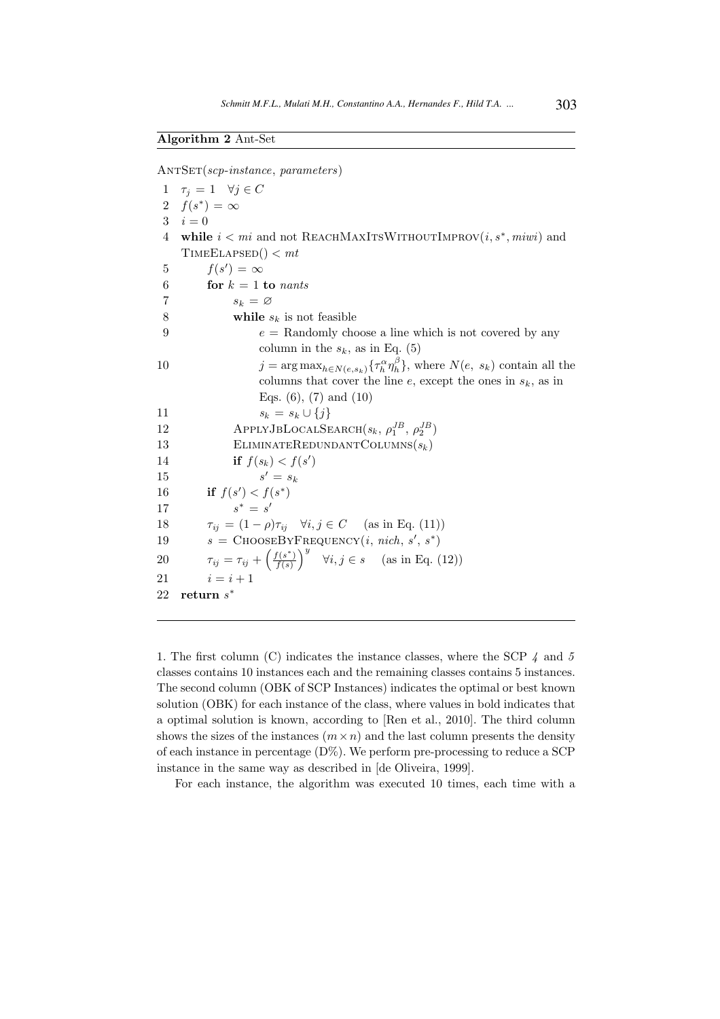$ANTSET(scp-instance, parameters)$ 

1  $\tau_j = 1 \quad \forall j \in C$ 2  $f(s^*) = \infty$  $3 \quad i = 0$ 4 while  $i < mi$  and not REACHMAXITSWITHOUTIMPROV $(i, s^*, m i wi)$  and  $TIMEELAPSED() < mt$ 5  $f(s') = \infty$ 6 for  $k = 1$  to nants 7  $s_k = \varnothing$ 8 while  $s_k$  is not feasible 9  $e = \text{Randomly choose a line which is not covered by any }$ column in the  $s_k$ , as in Eq. (5) 10  $j = \arg \max_{h \in N(e, s_k)} {\{\tau_h^{\alpha} \eta_h^{\beta}\}}$ , where  $N(e, s_k)$  contain all the columns that cover the line  $e$ , except the ones in  $s_k$ , as in Eqs.  $(6)$ ,  $(7)$  and  $(10)$ 11  $s_k = s_k \cup \{j\}$ 12 APPLYJBLOCALSEARCH $(s_k, \rho_1^{JB}, \rho_2^{JB})$ 13 ELIMINATEREDUNDANTCOLUMNS $(s_k)$ 14 **if**  $f(s_k) < f(s')$ 15 s  $s' = s_k$ 16 if  $f(s') < f(s^*)$  $17$  $* = s'$ 18  $\tau_{ii} = (1 - \rho)\tau_{ii}$   $\forall i, j \in C$  (as in Eq. (11)) 19  $s = \text{ChooseByFrecy}(i, \text{nich}, s', s^*)$ 20  $\tau_{ij} = \tau_{ij} + \left(\frac{f(s^*)}{f(s)}\right)$  $\left(f(s^*)\over f(s)\right)^y$   $\forall i, j \in s$  (as in Eq. (12)) 21  $i = i + 1$ 22 return  $s^*$ 

1. The first column (C) indicates the instance classes, where the SCP  $\lambda$  and  $5$ classes contains 10 instances each and the remaining classes contains 5 instances. The second column (OBK of SCP Instances) indicates the optimal or best known solution (OBK) for each instance of the class, where values in bold indicates that a optimal solution is known, according to [Ren et al., 2010]. The third column shows the sizes of the instances  $(m \times n)$  and the last column presents the density of each instance in percentage  $(D\%)$ . We perform pre-processing to reduce a SCP instance in the same way as described in [de Oliveira, 1999].

For each instance, the algorithm was executed 10 times, each time with a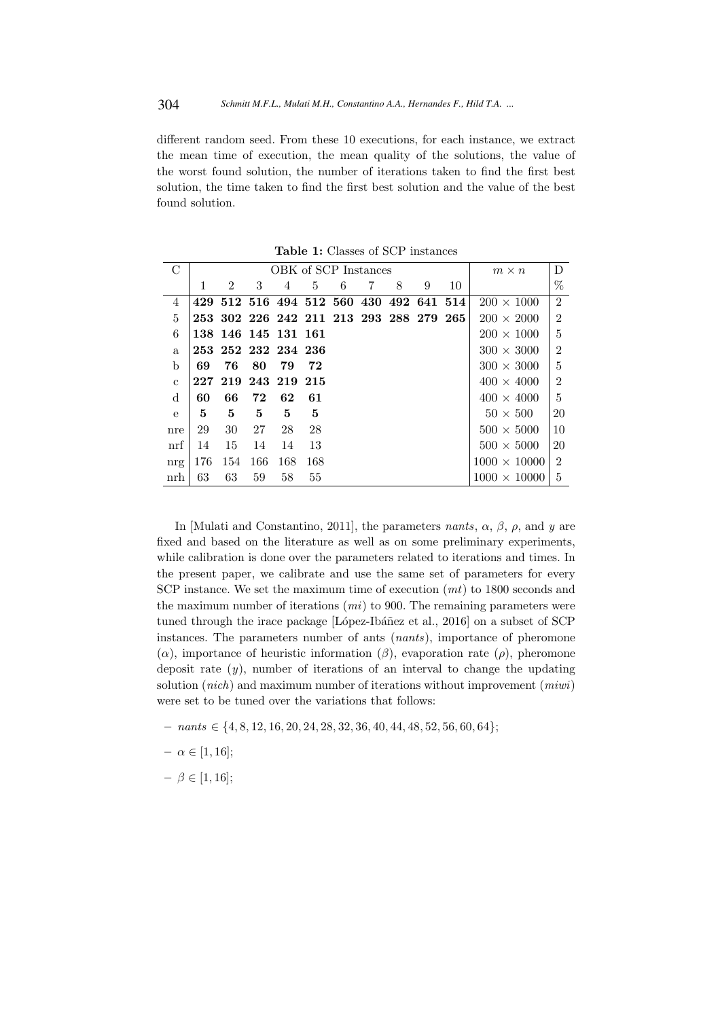different random seed. From these 10 executions, for each instance, we extract the mean time of execution, the mean quality of the solutions, the value of the worst found solution, the number of iterations taken to find the first best solution, the time taken to find the first best solution and the value of the best found solution.

| $\mathcal{C}$ |     |                     | $m \times n$ | D   |     |   |   |                                         |   |    |                     |                |
|---------------|-----|---------------------|--------------|-----|-----|---|---|-----------------------------------------|---|----|---------------------|----------------|
|               | 1   | $\overline{2}$      | 3            | 4   | 5   | 6 | 7 | 8                                       | 9 | 10 |                     | %              |
| 4             |     |                     |              |     |     |   |   | 429 512 516 494 512 560 430 492 641 514 |   |    | $200 \times 1000$   | $\overline{2}$ |
| 5             |     |                     |              |     |     |   |   | 253 302 226 242 211 213 293 288 279 265 |   |    | $200 \times 2000$   | $\overline{2}$ |
| 6             |     | 138 146 145 131 161 |              |     |     |   |   |                                         |   |    | $200 \times 1000$   | 5              |
| a             |     | 253 252 232 234 236 |              |     |     |   |   |                                         |   |    | $300 \times 3000$   | $\overline{2}$ |
| $\mathbf b$   | 69  | 76                  | 80           | 79  | 72  |   |   |                                         |   |    | $300 \times 3000$   | 5              |
| $\mathbf{c}$  |     | 227 219 243 219 215 |              |     |     |   |   |                                         |   |    | $400 \times 4000$   | $\overline{2}$ |
| d             | 60  | 66                  | 72           | 62  | 61  |   |   |                                         |   |    | $400 \times 4000$   | 5              |
| $\mathbf{e}$  | 5   | 5                   | 5            | 5   | 5   |   |   |                                         |   |    | $50 \times 500$     | 20             |
| nre           | 29  | 30                  | 27           | 28  | 28  |   |   |                                         |   |    | $500 \times 5000$   | 10             |
| $\inf$        | 14  | 15                  | 14           | 14  | 13  |   |   |                                         |   |    | $500 \times 5000$   | 20             |
| nrg           | 176 | 154                 | 166          | 168 | 168 |   |   |                                         |   |    | $1000 \times 10000$ | $\mathfrak{D}$ |
| nrh           | 63  | 63                  | 59           | 58  | 55  |   |   |                                         |   |    | $1000 \times 10000$ | $\mathbf{5}$   |

Table 1: Classes of SCP instances

In [Mulati and Constantino, 2011], the parameters *nants*,  $\alpha$ ,  $\beta$ ,  $\rho$ , and y are fixed and based on the literature as well as on some preliminary experiments, while calibration is done over the parameters related to iterations and times. In the present paper, we calibrate and use the same set of parameters for every SCP instance. We set the maximum time of execution  $(mt)$  to 1800 seconds and the maximum number of iterations  $(mi)$  to 900. The remaining parameters were tuned through the irace package [López-Ibáñez et al., 2016] on a subset of SCP instances. The parameters number of ants (nants), importance of pheromone  $(\alpha)$ , importance of heuristic information  $(\beta)$ , evaporation rate  $(\rho)$ , pheromone deposit rate  $(y)$ , number of iterations of an interval to change the updating solution (*nich*) and maximum number of iterations without improvement (*miwi*) were set to be tuned over the variations that follows:

– nants ∈ {4, 8, 12, 16, 20, 24, 28, 32, 36, 40, 44, 48, 52, 56, 60, 64};

 $- \alpha \in [1, 16];$ 

 $- \beta \in [1, 16];$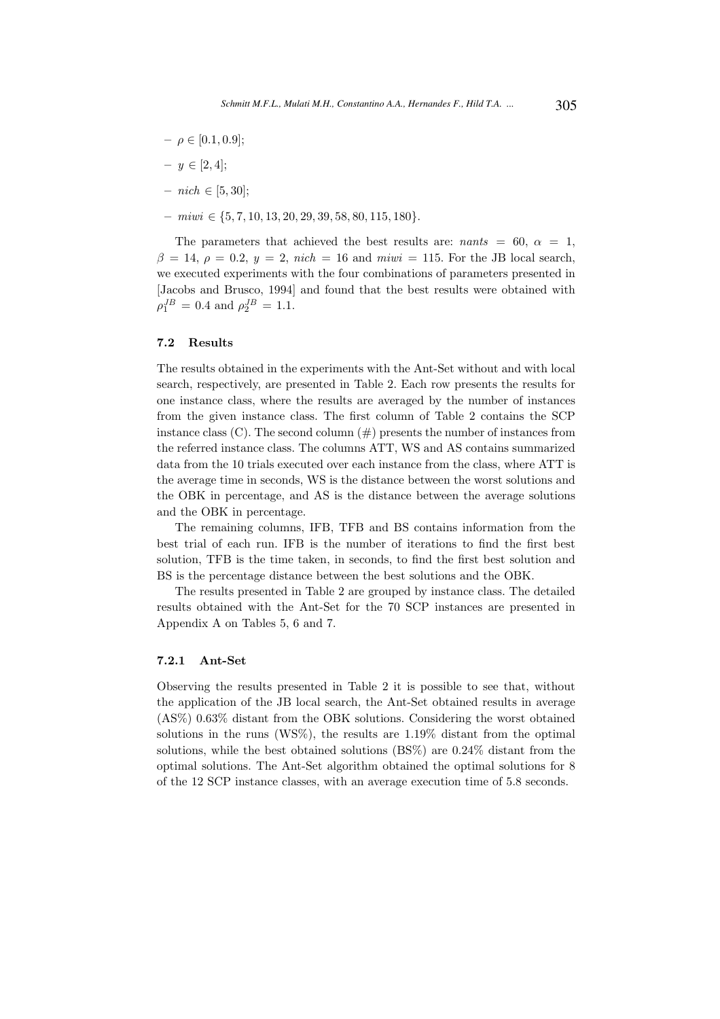- $\rho \in [0.1, 0.9];$
- $y \in [2, 4];$
- $−$  nich ∈ [5, 30];
- miwi ∈ {5, 7, 10, 13, 20, 29, 39, 58, 80, 115, 180}.

The parameters that achieved the best results are:  $nants = 60, \alpha = 1$ ,  $\beta = 14$ ,  $\rho = 0.2$ ,  $y = 2$ , nich = 16 and miwi = 115. For the JB local search, we executed experiments with the four combinations of parameters presented in [Jacobs and Brusco, 1994] and found that the best results were obtained with  $\rho_1^{JB} = 0.4$  and  $\rho_2^{JB} = 1.1$ .

#### 7.2 Results

The results obtained in the experiments with the Ant-Set without and with local search, respectively, are presented in Table 2. Each row presents the results for one instance class, where the results are averaged by the number of instances from the given instance class. The first column of Table 2 contains the SCP instance class  $(C)$ . The second column  $(\#)$  presents the number of instances from the referred instance class. The columns ATT, WS and AS contains summarized data from the 10 trials executed over each instance from the class, where ATT is the average time in seconds, WS is the distance between the worst solutions and the OBK in percentage, and AS is the distance between the average solutions and the OBK in percentage.

The remaining columns, IFB, TFB and BS contains information from the best trial of each run. IFB is the number of iterations to find the first best solution, TFB is the time taken, in seconds, to find the first best solution and BS is the percentage distance between the best solutions and the OBK.

The results presented in Table 2 are grouped by instance class. The detailed results obtained with the Ant-Set for the 70 SCP instances are presented in Appendix A on Tables 5, 6 and 7.

#### 7.2.1 Ant-Set

Observing the results presented in Table 2 it is possible to see that, without the application of the JB local search, the Ant-Set obtained results in average (AS%) 0.63% distant from the OBK solutions. Considering the worst obtained solutions in the runs (WS%), the results are 1.19% distant from the optimal solutions, while the best obtained solutions (BS%) are 0.24% distant from the optimal solutions. The Ant-Set algorithm obtained the optimal solutions for 8 of the 12 SCP instance classes, with an average execution time of 5.8 seconds.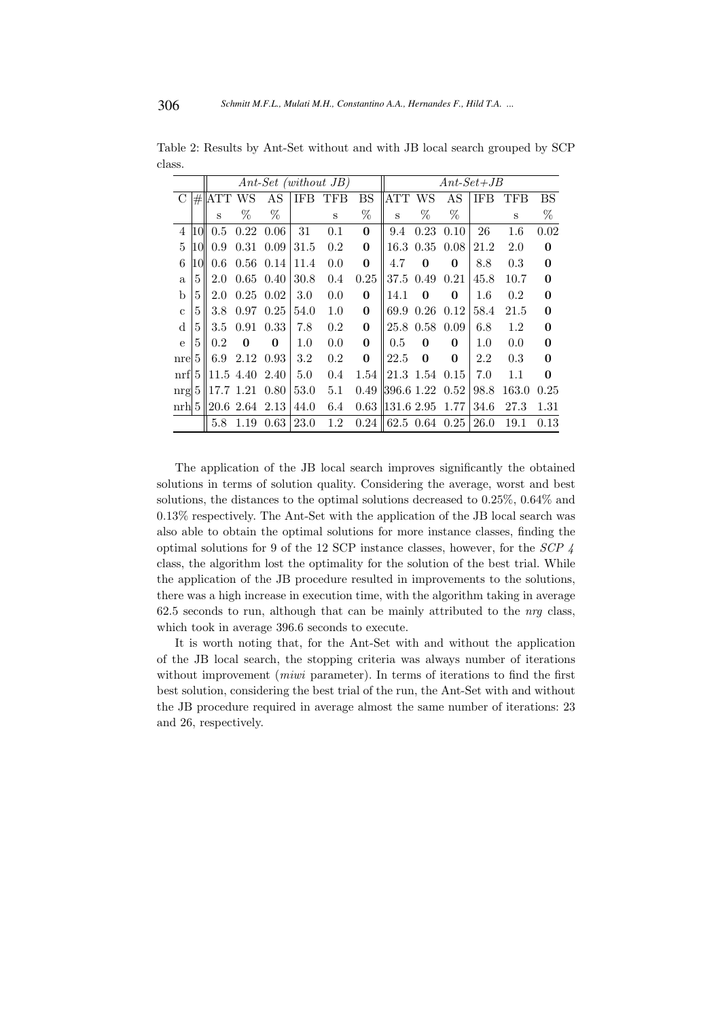|                |                |            |           |           |            | $Ant-Set$ (without JB) |              | $Ant-Set+JB$ |                |      |         |         |              |  |  |
|----------------|----------------|------------|-----------|-----------|------------|------------------------|--------------|--------------|----------------|------|---------|---------|--------------|--|--|
| $\mathcal{C}$  | $\#$           | <b>ATT</b> | WS        | AS        | <b>IFB</b> | TFB                    | <b>BS</b>    | ATT          | WS             | AS   | IFB     | TFB     | <b>BS</b>    |  |  |
|                |                | S          | %         | %         |            | S                      | %            | S            | %              | %    |         | S       | %            |  |  |
| $\overline{4}$ | 10             | 0.5        | 0.22      | 0.06      | 31         | 0.1                    | $\bf{0}$     | 9.4          | 0.23           | 0.10 | 26      | $1.6\,$ | 0.02         |  |  |
| 5              | 10             | 0.9        | 0.31      | 0.09      | 31.5       | 0.2                    | $\bf{0}$     | 16.3         | 0.35           | 0.08 | 21.2    | 2.0     | $\mathbf{0}$ |  |  |
| 6              | 10             | 0.6        |           | 0.56 0.14 | 11.4       | 0.0                    | $\mathbf{0}$ | 4.7          | 0              | 0    | 8.8     | 0.3     | $\mathbf{0}$ |  |  |
| a              | 5              | 2.0        | 0.65      | 0.40      | 30.8       | 0.4                    | 0.25         | 37.5         | 0.49           | 0.21 | 45.8    | 10.7    | $\bf{0}$     |  |  |
| b              | 5              | 2.0        | 0.25      | 0.02      | 3.0        | 0.0                    | $\bf{0}$     | 14.1         | 0              | 0    | $1.6\,$ | 0.2     | $\bf{0}$     |  |  |
| $\mathbf c$    | 5              | 3.8        | 0.97      | 0.25      | 54.0       | 1.0                    | $\mathbf{0}$ | 69.9         | 0.26           | 0.12 | 58.4    | 21.5    | $\mathbf{0}$ |  |  |
| d              | 5              | 3.5        | 0.91      | 0.33      | 7.8        | 0.2                    | $\bf{0}$     |              | 25.8 0.58      | 0.09 | 6.8     | 1.2     | $\bf{0}$     |  |  |
| $\mathbf{e}$   | 5              | 0.2        | 0         | 0         | 1.0        | 0.0                    | $\mathbf{0}$ | $0.5\,$      | 0              | 0    | $1.0\,$ | 0.0     | $\mathbf{0}$ |  |  |
| nre            | 5              | 6.9        | 2.12      | 0.93      | 3.2        | 0.2                    | $\mathbf{0}$ | 22.5         | 0              | 0    | 2.2     | 0.3     | 0            |  |  |
| $\inf$         | 5 <sup>1</sup> |            | 11.5 4.40 | 2.40      | 5.0        | 0.4                    | 1.54         |              | 21.3 1.54 0.15 |      | 7.0     | $1.1\,$ | $\mathbf{0}$ |  |  |
| nrg 5          |                | 17.7       | 1.21      | 0.80      | 53.0       | 5.1                    | 0.49         | 396.6 1.22   |                | 0.52 | 98.8    | 163.0   | 0.25         |  |  |
| $\binom{m}{0}$ |                |            | 20.6 2.64 | 2.13      | 44.0       | 6.4                    | 0.63         | 131.6 2.95   |                | 1.77 | 34.6    | 27.3    | 1.31         |  |  |
|                |                | 5.8        | 1.19      | 0.63      | 23.0       | 1.2                    | 0.24         |              | 62.5 0.64      | 0.25 | 26.0    | 19.1    | 0.13         |  |  |

Table 2: Results by Ant-Set without and with JB local search grouped by SCP class.

The application of the JB local search improves significantly the obtained solutions in terms of solution quality. Considering the average, worst and best solutions, the distances to the optimal solutions decreased to 0.25%, 0.64% and 0.13% respectively. The Ant-Set with the application of the JB local search was also able to obtain the optimal solutions for more instance classes, finding the optimal solutions for 9 of the 12 SCP instance classes, however, for the SCP 4 class, the algorithm lost the optimality for the solution of the best trial. While the application of the JB procedure resulted in improvements to the solutions, there was a high increase in execution time, with the algorithm taking in average 62.5 seconds to run, although that can be mainly attributed to the  $nrg$  class, which took in average 396.6 seconds to execute.

It is worth noting that, for the Ant-Set with and without the application of the JB local search, the stopping criteria was always number of iterations without improvement *(miwi* parameter). In terms of iterations to find the first best solution, considering the best trial of the run, the Ant-Set with and without the JB procedure required in average almost the same number of iterations: 23 and 26, respectively.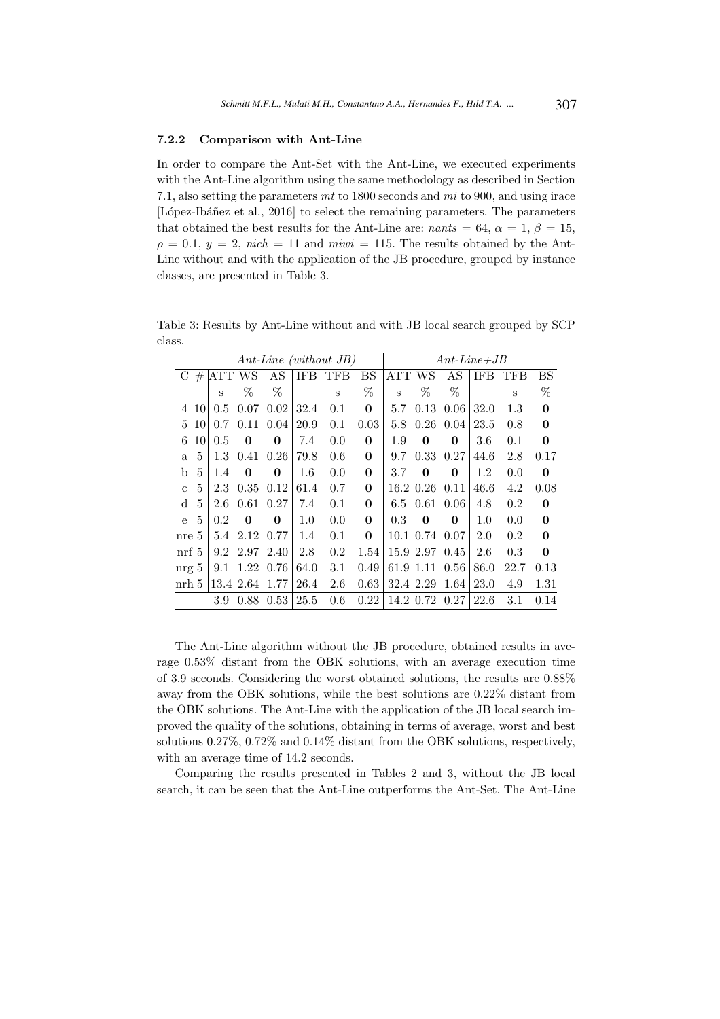#### 7.2.2 Comparison with Ant-Line

In order to compare the Ant-Set with the Ant-Line, we executed experiments with the Ant-Line algorithm using the same methodology as described in Section 7.1, also setting the parameters mt to 1800 seconds and mi to 900, and using irace [López-Ibáñez et al., 2016] to select the remaining parameters. The parameters that obtained the best results for the Ant-Line are:  $nants = 64$ ,  $\alpha = 1$ ,  $\beta = 15$ ,  $\rho = 0.1, y = 2, \text{ nich} = 11 \text{ and } \text{mi} = 115.$  The results obtained by the Ant-Line without and with the application of the JB procedure, grouped by instance classes, are presented in Table 3.

Table 3: Results by Ant-Line without and with JB local search grouped by SCP class.

|                |    |            |              |          |         | $Ant\text{-}Line \ (without \ JB)$ | $Ant\text{-}Line\text{+}JB$ |            |                |          |            |      |              |  |
|----------------|----|------------|--------------|----------|---------|------------------------------------|-----------------------------|------------|----------------|----------|------------|------|--------------|--|
| C              | #  | <b>ATT</b> | WS           | AS       | IFB     | TFB                                | <b>BS</b>                   | <b>ATT</b> | WS             | AS       | <b>IFB</b> | TFB  | BS           |  |
|                |    | S          | %            | %        |         | S                                  | %                           | S          | %              | %        |            | S    | %            |  |
| $\overline{4}$ | 10 | 0.5        | 0.07         | 0.02     | 32.4    | 0.1                                | $\mathbf{0}$                | 5.7        | 0.13           | 0.06     | 32.0       | 1.3  | $\mathbf{0}$ |  |
| 5              | 10 | 0.7        | 0.11         | 0.04     | 20.9    | 0.1                                | 0.03                        | 5.8        | 0.26           | 0.04     | 23.5       | 0.8  | $\bf{0}$     |  |
| 6              | 10 | 0.5        | $\mathbf{0}$ | 0        | 7.4     | 0.0                                | $\mathbf{0}$                | 1.9        | 0              | 0        | $3.6\,$    | 0.1  | $\bf{0}$     |  |
| a              | 5  | 1.3        | 0.41         | 0.26     | 79.8    | 0.6                                | $\bf{0}$                    | 9.7        | 0.33           | 0.27     | 44.6       | 2.8  | 0.17         |  |
| b              | 5  | 1.4        | $\mathbf{0}$ | $\bf{0}$ | $1.6\,$ | 0.0                                | $\mathbf{0}$                | 3.7        | 0              | 0        | 1.2        | 0.0  | $\bf{0}$     |  |
| $\mathbf{c}$   | 5  | 2.3        | 0.35         | 0.12     | 61.4    | 0.7                                | $\mathbf{0}$                |            | 16.2 0.26      | 0.11     | 46.6       | 4.2  | 0.08         |  |
| d              | 5  | 2.6        | 0.61         | 0.27     | 7.4     | 0.1                                | $\mathbf{0}$                | 6.5        | 0.61           | 0.06     | 4.8        | 0.2  | $\bf{0}$     |  |
| $\mathbf{e}$   | 5  | 0.2        | $\Omega$     | 0        | $1.0\,$ | 0.0                                | $\mathbf{0}$                | 0.3        | 0              | $\Omega$ | 1.0        | 0.0  | $\bf{0}$     |  |
| nre            | 5  | 5.4        | 2.12         | 0.77     | $1.4\,$ | 0.1                                | $\mathbf{0}$                |            | 10.1 0.74 0.07 |          | 2.0        | 0.2  | $\bf{0}$     |  |
| nrf            | 5  | 9.2        | 2.97         | 2.40     | 2.8     | 0.2                                | 1.54                        |            | 15.9 2.97      | 0.45     | 2.6        | 0.3  | $\bf{0}$     |  |
| nrg            | 5  | 9.1        | 1.22         | 0.76     | 64.0    | 3.1                                | 0.49                        | 61.9       | 1.11           | 0.56     | 86.0       | 22.7 | 0.13         |  |
| $\binom{m}{b}$ |    | 13.4       | 2.64         | 1.77     | 26.4    | 2.6                                | 0.63                        |            | 32.4 2.29      | 1.64     | 23.0       | 4.9  | 1.31         |  |
|                |    | 3.9        | 0.88         | 0.53     | 25.5    | 0.6                                | 0.22                        | 14.2       | 0.72           | 0.27     | 22.6       | 3.1  | 0.14         |  |

The Ant-Line algorithm without the JB procedure, obtained results in average 0.53% distant from the OBK solutions, with an average execution time of 3.9 seconds. Considering the worst obtained solutions, the results are 0.88% away from the OBK solutions, while the best solutions are 0.22% distant from the OBK solutions. The Ant-Line with the application of the JB local search improved the quality of the solutions, obtaining in terms of average, worst and best solutions 0.27%, 0.72% and 0.14% distant from the OBK solutions, respectively, with an average time of 14.2 seconds.

Comparing the results presented in Tables 2 and 3, without the JB local search, it can be seen that the Ant-Line outperforms the Ant-Set. The Ant-Line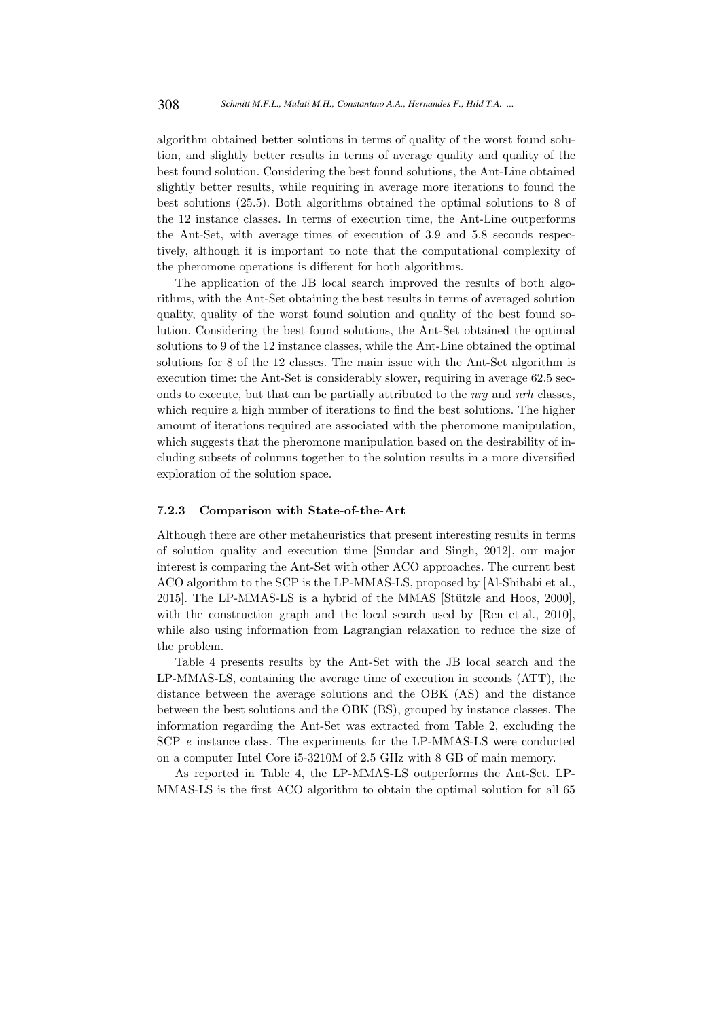algorithm obtained better solutions in terms of quality of the worst found solution, and slightly better results in terms of average quality and quality of the best found solution. Considering the best found solutions, the Ant-Line obtained slightly better results, while requiring in average more iterations to found the best solutions (25.5). Both algorithms obtained the optimal solutions to 8 of the 12 instance classes. In terms of execution time, the Ant-Line outperforms the Ant-Set, with average times of execution of 3.9 and 5.8 seconds respectively, although it is important to note that the computational complexity of the pheromone operations is different for both algorithms.

The application of the JB local search improved the results of both algorithms, with the Ant-Set obtaining the best results in terms of averaged solution quality, quality of the worst found solution and quality of the best found solution. Considering the best found solutions, the Ant-Set obtained the optimal solutions to 9 of the 12 instance classes, while the Ant-Line obtained the optimal solutions for 8 of the 12 classes. The main issue with the Ant-Set algorithm is execution time: the Ant-Set is considerably slower, requiring in average 62.5 seconds to execute, but that can be partially attributed to the nrg and nrh classes, which require a high number of iterations to find the best solutions. The higher amount of iterations required are associated with the pheromone manipulation, which suggests that the pheromone manipulation based on the desirability of including subsets of columns together to the solution results in a more diversified exploration of the solution space.

### 7.2.3 Comparison with State-of-the-Art

Although there are other metaheuristics that present interesting results in terms of solution quality and execution time [Sundar and Singh, 2012], our major interest is comparing the Ant-Set with other ACO approaches. The current best ACO algorithm to the SCP is the LP-MMAS-LS, proposed by [Al-Shihabi et al., 2015]. The LP-MMAS-LS is a hybrid of the MMAS [Stützle and Hoos, 2000], with the construction graph and the local search used by [Ren et al., 2010], while also using information from Lagrangian relaxation to reduce the size of the problem.

Table 4 presents results by the Ant-Set with the JB local search and the LP-MMAS-LS, containing the average time of execution in seconds (ATT), the distance between the average solutions and the OBK (AS) and the distance between the best solutions and the OBK (BS), grouped by instance classes. The information regarding the Ant-Set was extracted from Table 2, excluding the SCP e instance class. The experiments for the LP-MMAS-LS were conducted on a computer Intel Core i5-3210M of 2.5 GHz with 8 GB of main memory.

As reported in Table 4, the LP-MMAS-LS outperforms the Ant-Set. LP-MMAS-LS is the first ACO algorithm to obtain the optimal solution for all 65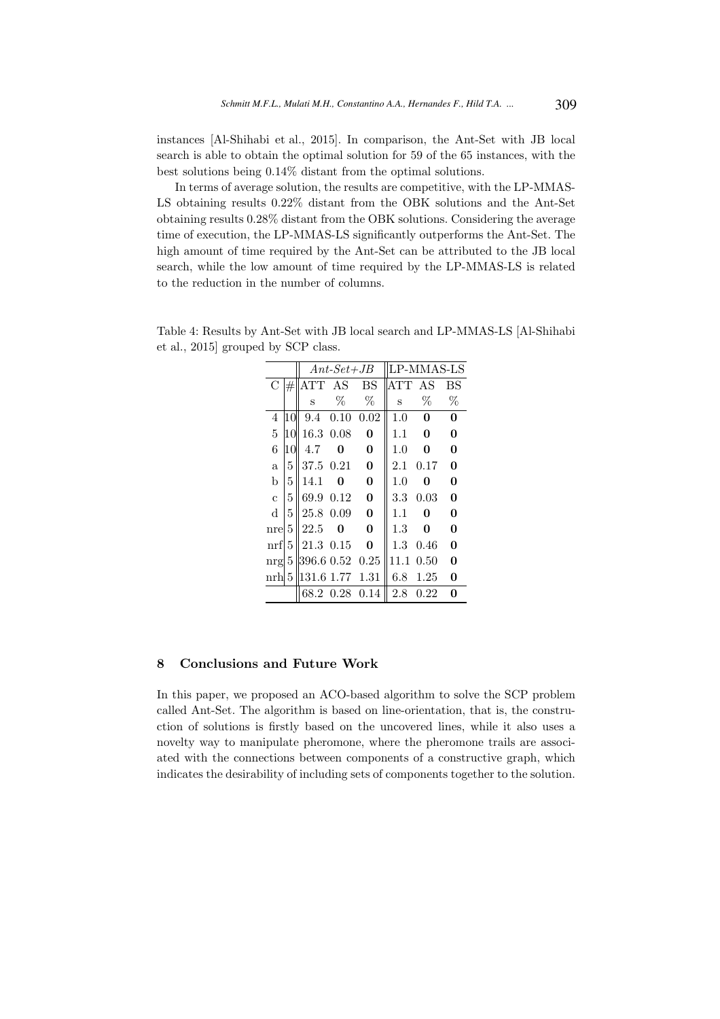instances [Al-Shihabi et al., 2015]. In comparison, the Ant-Set with JB local search is able to obtain the optimal solution for 59 of the 65 instances, with the best solutions being 0.14% distant from the optimal solutions.

In terms of average solution, the results are competitive, with the LP-MMAS-LS obtaining results 0.22% distant from the OBK solutions and the Ant-Set obtaining results 0.28% distant from the OBK solutions. Considering the average time of execution, the LP-MMAS-LS significantly outperforms the Ant-Set. The high amount of time required by the Ant-Set can be attributed to the JB local search, while the low amount of time required by the LP-MMAS-LS is related to the reduction in the number of columns.

|                |                 |                 | $Ant-Set+JB$ |              |            | LP-MMAS-LS |              |
|----------------|-----------------|-----------------|--------------|--------------|------------|------------|--------------|
| C              | $\overline{\#}$ | ATT AS          |              | <b>BS</b>    | <b>ATT</b> | AS         | BS           |
|                |                 | S               | $\%$         | %            | S          | %          | %            |
| 4              | '10             | 9.4             | 0.10         | 0.02         | 1.0        | 0          | $\mathbf{0}$ |
| 5              | 10              | 16.3            | 0.08         | 0            | 1.1        | 0          | $\mathbf{0}$ |
| 6              | 10              | 4.7             | 0            | $\bf{0}$     | 1.0        | 0          | $\mathbf{0}$ |
| $\mathbf{a}$   | 5               | 37.5 0.21       |              | $\mathbf{0}$ | 2.1        | 0.17       | $\mathbf{0}$ |
| b              | 5               | 14.1            | 0            | $\bf{0}$     | 1.0        | 0          | $\mathbf{0}$ |
| $\overline{c}$ | 5               | 69.9 0.12       |              | $\mathbf{0}$ | 3.3        | 0.03       | $\mathbf{0}$ |
| d              | 5               | 25.8 0.09       |              | $\mathbf{0}$ | 1.1        | 0          | $\mathbf{0}$ |
| nrel           | 5               | 22.5            | O            | $\mathbf{0}$ | 1.3        | 0          | $\mathbf{0}$ |
| $\inf$         | 5               | 21.3 0.15       |              | $\mathbf{0}$ | 1.3        | 0.46       | $\mathbf{0}$ |
| nrg            | 5               | 396.6 0.52 0.25 |              |              | 11.1       | 0.50       | $\mathbf{0}$ |
| nrh  5         |                 | 131.6 1.77 1.31 |              |              | 6.8        | 1.25       | 0            |
|                |                 |                 | 68.2 0.28    | 0.14         | 2.8        | $0.22\,$   | 0            |

Table 4: Results by Ant-Set with JB local search and LP-MMAS-LS [Al-Shihabi et al., 2015] grouped by SCP class.

### 8 Conclusions and Future Work

In this paper, we proposed an ACO-based algorithm to solve the SCP problem called Ant-Set. The algorithm is based on line-orientation, that is, the construction of solutions is firstly based on the uncovered lines, while it also uses a novelty way to manipulate pheromone, where the pheromone trails are associated with the connections between components of a constructive graph, which indicates the desirability of including sets of components together to the solution.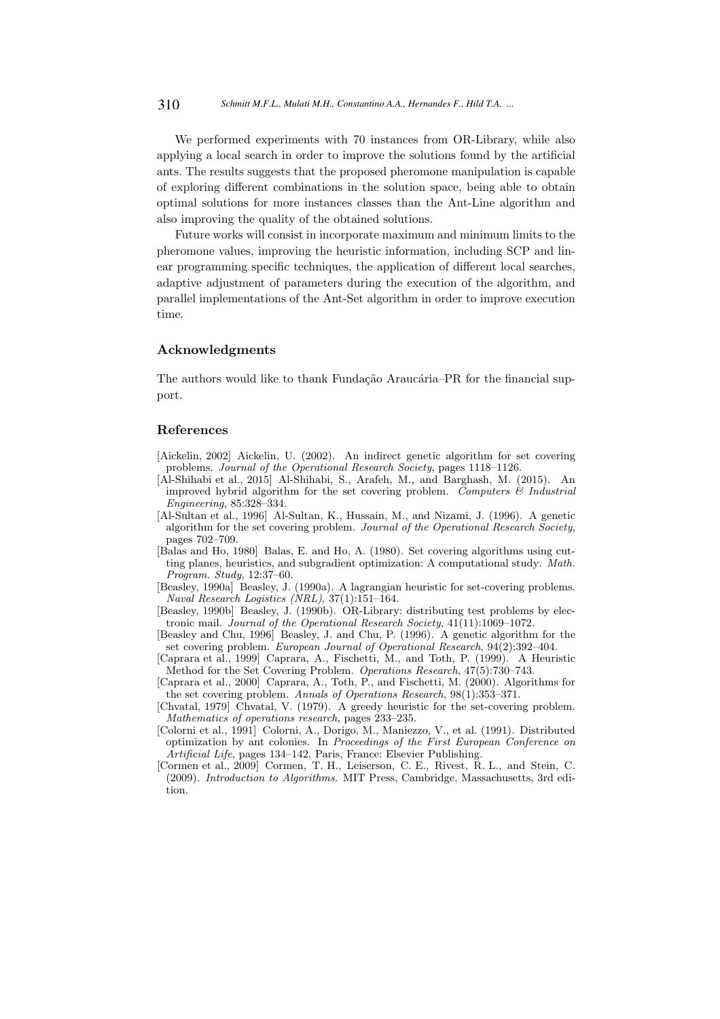We performed experiments with 70 instances from OR-Library, while also applying a local search in order to improve the solutions found by the artificial ants. The results suggests that the proposed pheromone manipulation is capable of exploring different combinations in the solution space, being able to obtain optimal solutions for more instances classes than the Ant-Line algorithm and also improving the quality of the obtained solutions.

Future works will consist in incorporate maximum and minimum limits to the pheromone values, improving the heuristic information, including SCP and linear programming specific techniques, the application of different local searches, adaptive adjustment of parameters during the execution of the algorithm, and parallel implementations of the Ant-Set algorithm in order to improve execution time.

### Acknowledgments

The authors would like to thank Fundação Araucária–PR for the financial support.

#### References

- [Aickelin, 2002] Aickelin, U. (2002). An indirect genetic algorithm for set covering problems. *Journal of the Operational Research Society*, pages 1118–1126.
- [Al-Shihabi et al., 2015] Al-Shihabi, S., Arafeh, M., and Barghash, M. (2015). An improved hybrid algorithm for the set covering problem. *Computers & Industrial Engineering*, 85:328–334.
- [Al-Sultan et al., 1996] Al-Sultan, K., Hussain, M., and Nizami, J. (1996). A genetic algorithm for the set covering problem. *Journal of the Operational Research Society*, pages 702–709.
- [Balas and Ho, 1980] Balas, E. and Ho, A. (1980). Set covering algorithms using cutting planes, heuristics, and subgradient optimization: A computational study. *Math. Program. Study*, 12:37–60.
- [Beasley, 1990a] Beasley, J. (1990a). A lagrangian heuristic for set-covering problems. *Naval Research Logistics (NRL)*, 37(1):151–164.
- [Beasley, 1990b] Beasley, J. (1990b). OR-Library: distributing test problems by electronic mail. *Journal of the Operational Research Society*, 41(11):1069–1072.
- [Beasley and Chu, 1996] Beasley, J. and Chu, P. (1996). A genetic algorithm for the set covering problem. *European Journal of Operational Research*, 94(2):392–404.
- [Caprara et al., 1999] Caprara, A., Fischetti, M., and Toth, P. (1999). A Heuristic Method for the Set Covering Problem. *Operations Research*, 47(5):730–743.
- [Caprara et al., 2000] Caprara, A., Toth, P., and Fischetti, M. (2000). Algorithms for the set covering problem. *Annals of Operations Research*, 98(1):353–371.
- [Chvatal, 1979] Chvatal, V. (1979). A greedy heuristic for the set-covering problem. *Mathematics of operations research*, pages 233–235.
- [Colorni et al., 1991] Colorni, A., Dorigo, M., Maniezzo, V., et al. (1991). Distributed optimization by ant colonies. In *Proceedings of the First European Conference on Artificial Life*, pages 134–142. Paris, France: Elsevier Publishing.
- [Cormen et al., 2009] Cormen, T. H., Leiserson, C. E., Rivest, R. L., and Stein, C. (2009). *Introduction to Algorithms*. MIT Press, Cambridge, Massachusetts, 3rd edition.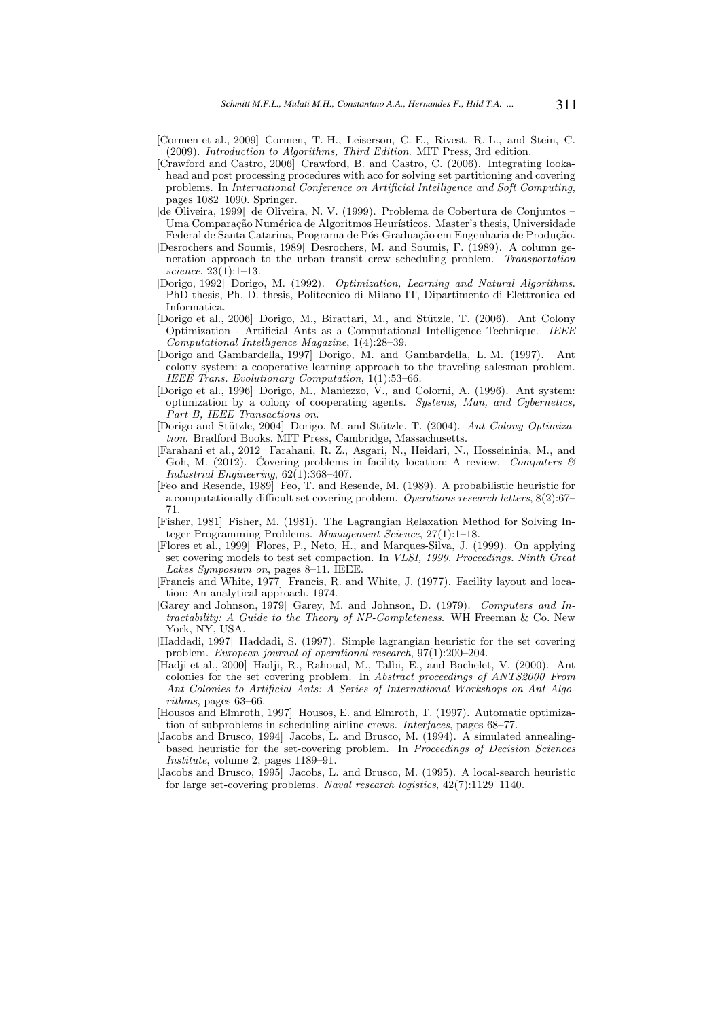- [Cormen et al., 2009] Cormen, T. H., Leiserson, C. E., Rivest, R. L., and Stein, C. (2009). *Introduction to Algorithms, Third Edition*. MIT Press, 3rd edition.
- [Crawford and Castro, 2006] Crawford, B. and Castro, C. (2006). Integrating lookahead and post processing procedures with aco for solving set partitioning and covering problems. In *International Conference on Artificial Intelligence and Soft Computing*, pages 1082–1090. Springer.
- [de Oliveira, 1999] de Oliveira, N. V. (1999). Problema de Cobertura de Conjuntos Uma Comparação Numérica de Algoritmos Heurísticos. Master's thesis, Universidade Federal de Santa Catarina, Programa de Pós-Graduação em Engenharia de Produção.
- [Desrochers and Soumis, 1989] Desrochers, M. and Soumis, F. (1989). A column generation approach to the urban transit crew scheduling problem. *Transportation science*, 23(1):1–13.
- [Dorigo, 1992] Dorigo, M. (1992). *Optimization, Learning and Natural Algorithms*. PhD thesis, Ph. D. thesis, Politecnico di Milano IT, Dipartimento di Elettronica ed Informatica.
- [Dorigo et al., 2006] Dorigo, M., Birattari, M., and Stützle, T. (2006). Ant Colony Optimization - Artificial Ants as a Computational Intelligence Technique. *IEEE Computational Intelligence Magazine*, 1(4):28–39.
- [Dorigo and Gambardella, 1997] Dorigo, M. and Gambardella, L. M. (1997). Ant colony system: a cooperative learning approach to the traveling salesman problem. *IEEE Trans. Evolutionary Computation*, 1(1):53–66.
- [Dorigo et al., 1996] Dorigo, M., Maniezzo, V., and Colorni, A. (1996). Ant system: optimization by a colony of cooperating agents. *Systems, Man, and Cybernetics, Part B, IEEE Transactions on*.
- [Dorigo and Stützle, 2004] Dorigo, M. and Stützle, T. (2004). *Ant Colony Optimization*. Bradford Books. MIT Press, Cambridge, Massachusetts.
- [Farahani et al., 2012] Farahani, R. Z., Asgari, N., Heidari, N., Hosseininia, M., and Goh, M. (2012). Covering problems in facility location: A review. *Computers & Industrial Engineering*, 62(1):368–407.
- [Feo and Resende, 1989] Feo, T. and Resende, M. (1989). A probabilistic heuristic for a computationally difficult set covering problem. *Operations research letters*, 8(2):67– 71.
- [Fisher, 1981] Fisher, M. (1981). The Lagrangian Relaxation Method for Solving Integer Programming Problems. *Management Science*, 27(1):1–18.
- [Flores et al., 1999] Flores, P., Neto, H., and Marques-Silva, J. (1999). On applying set covering models to test set compaction. In *VLSI, 1999. Proceedings. Ninth Great Lakes Symposium on*, pages 8–11. IEEE.
- [Francis and White, 1977] Francis, R. and White, J. (1977). Facility layout and location: An analytical approach. 1974.
- [Garey and Johnson, 1979] Garey, M. and Johnson, D. (1979). *Computers and Intractability: A Guide to the Theory of NP-Completeness*. WH Freeman & Co. New York, NY, USA.
- [Haddadi, 1997] Haddadi, S. (1997). Simple lagrangian heuristic for the set covering problem. *European journal of operational research*, 97(1):200–204.
- [Hadji et al., 2000] Hadji, R., Rahoual, M., Talbi, E., and Bachelet, V. (2000). Ant colonies for the set covering problem. In *Abstract proceedings of ANTS2000–From Ant Colonies to Artificial Ants: A Series of International Workshops on Ant Algorithms*, pages 63–66.
- [Housos and Elmroth, 1997] Housos, E. and Elmroth, T. (1997). Automatic optimization of subproblems in scheduling airline crews. *Interfaces*, pages 68–77.
- [Jacobs and Brusco, 1994] Jacobs, L. and Brusco, M. (1994). A simulated annealingbased heuristic for the set-covering problem. In *Proceedings of Decision Sciences Institute*, volume 2, pages 1189–91.
- [Jacobs and Brusco, 1995] Jacobs, L. and Brusco, M. (1995). A local-search heuristic for large set-covering problems. *Naval research logistics*, 42(7):1129–1140.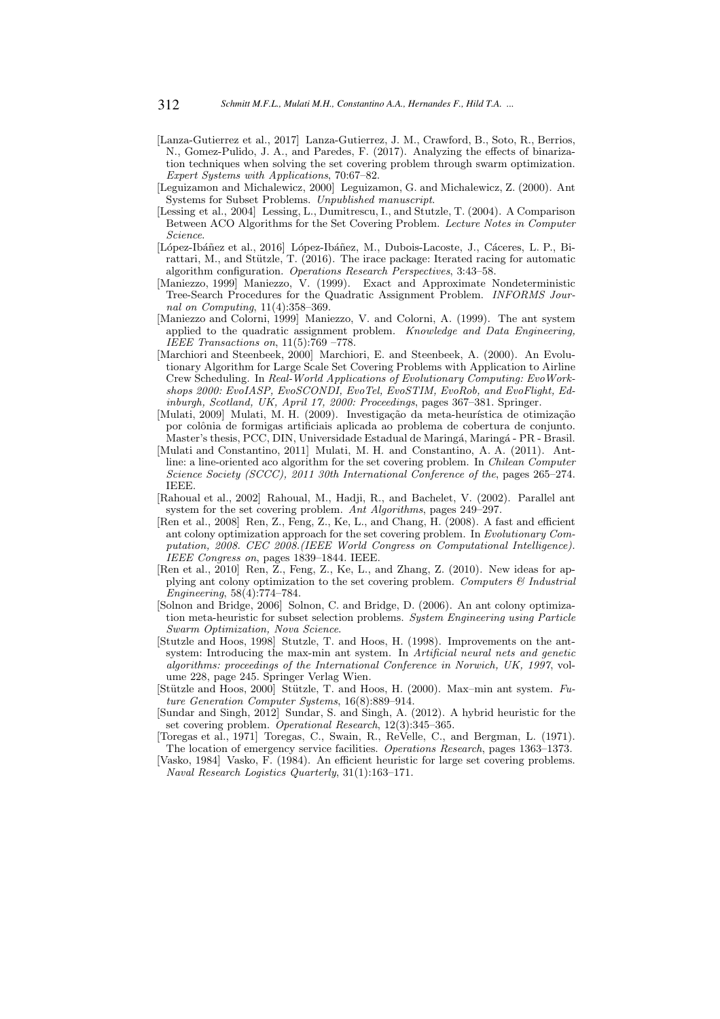- [Lanza-Gutierrez et al., 2017] Lanza-Gutierrez, J. M., Crawford, B., Soto, R., Berrios, N., Gomez-Pulido, J. A., and Paredes, F. (2017). Analyzing the effects of binarization techniques when solving the set covering problem through swarm optimization. *Expert Systems with Applications*, 70:67–82.
- [Leguizamon and Michalewicz, 2000] Leguizamon, G. and Michalewicz, Z. (2000). Ant Systems for Subset Problems. *Unpublished manuscript*.
- [Lessing et al., 2004] Lessing, L., Dumitrescu, I., and Stutzle, T. (2004). A Comparison Between ACO Algorithms for the Set Covering Problem. *Lecture Notes in Computer Science*.
- [López-Ibáñez et al., 2016] López-Ibáñez, M., Dubois-Lacoste, J., Cáceres, L. P., Birattari, M., and Stützle, T.  $(2016)$ . The irace package: Iterated racing for automatic algorithm configuration. *Operations Research Perspectives*, 3:43–58.
- [Maniezzo, 1999] Maniezzo, V. (1999). Exact and Approximate Nondeterministic Tree-Search Procedures for the Quadratic Assignment Problem. *INFORMS Journal on Computing*, 11(4):358–369.
- [Maniezzo and Colorni, 1999] Maniezzo, V. and Colorni, A. (1999). The ant system applied to the quadratic assignment problem. *Knowledge and Data Engineering, IEEE Transactions on*, 11(5):769 –778.
- [Marchiori and Steenbeek, 2000] Marchiori, E. and Steenbeek, A. (2000). An Evolutionary Algorithm for Large Scale Set Covering Problems with Application to Airline Crew Scheduling. In *Real-World Applications of Evolutionary Computing: EvoWorkshops 2000: EvoIASP, EvoSCONDI, EvoTel, EvoSTIM, EvoRob, and EvoFlight, Edinburgh, Scotland, UK, April 17, 2000: Proceedings*, pages 367–381. Springer.
- [Mulati, 2009] Mulati, M. H. (2009). Investigação da meta-heurística de otimização por colônia de formigas artificiais aplicada ao problema de cobertura de conjunto. Master's thesis, PCC, DIN, Universidade Estadual de Maringá, Maringá - PR - Brasil.
- [Mulati and Constantino, 2011] Mulati, M. H. and Constantino, A. A. (2011). Antline: a line-oriented aco algorithm for the set covering problem. In *Chilean Computer Science Society (SCCC), 2011 30th International Conference of the*, pages 265–274. IEEE.
- [Rahoual et al., 2002] Rahoual, M., Hadji, R., and Bachelet, V. (2002). Parallel ant system for the set covering problem. *Ant Algorithms*, pages 249–297.
- [Ren et al., 2008] Ren, Z., Feng, Z., Ke, L., and Chang, H. (2008). A fast and efficient ant colony optimization approach for the set covering problem. In *Evolutionary Computation, 2008. CEC 2008.(IEEE World Congress on Computational Intelligence). IEEE Congress on*, pages 1839–1844. IEEE.
- [Ren et al., 2010] Ren, Z., Feng, Z., Ke, L., and Zhang, Z. (2010). New ideas for applying ant colony optimization to the set covering problem. *Computers & Industrial Engineering*, 58(4):774–784.
- [Solnon and Bridge, 2006] Solnon, C. and Bridge, D. (2006). An ant colony optimization meta-heuristic for subset selection problems. *System Engineering using Particle Swarm Optimization, Nova Science*.
- [Stutzle and Hoos, 1998] Stutzle, T. and Hoos, H. (1998). Improvements on the antsystem: Introducing the max-min ant system. In *Artificial neural nets and genetic algorithms: proceedings of the International Conference in Norwich, UK, 1997*, volume 228, page 245. Springer Verlag Wien.
- [Stützle and Hoos, 2000] Stützle, T. and Hoos, H. (2000). Max–min ant system. *Future Generation Computer Systems*, 16(8):889–914.
- [Sundar and Singh, 2012] Sundar, S. and Singh, A. (2012). A hybrid heuristic for the set covering problem. *Operational Research*, 12(3):345–365.
- [Toregas et al., 1971] Toregas, C., Swain, R., ReVelle, C., and Bergman, L. (1971). The location of emergency service facilities. *Operations Research*, pages 1363–1373.
- [Vasko, 1984] Vasko, F. (1984). An efficient heuristic for large set covering problems. *Naval Research Logistics Quarterly*, 31(1):163–171.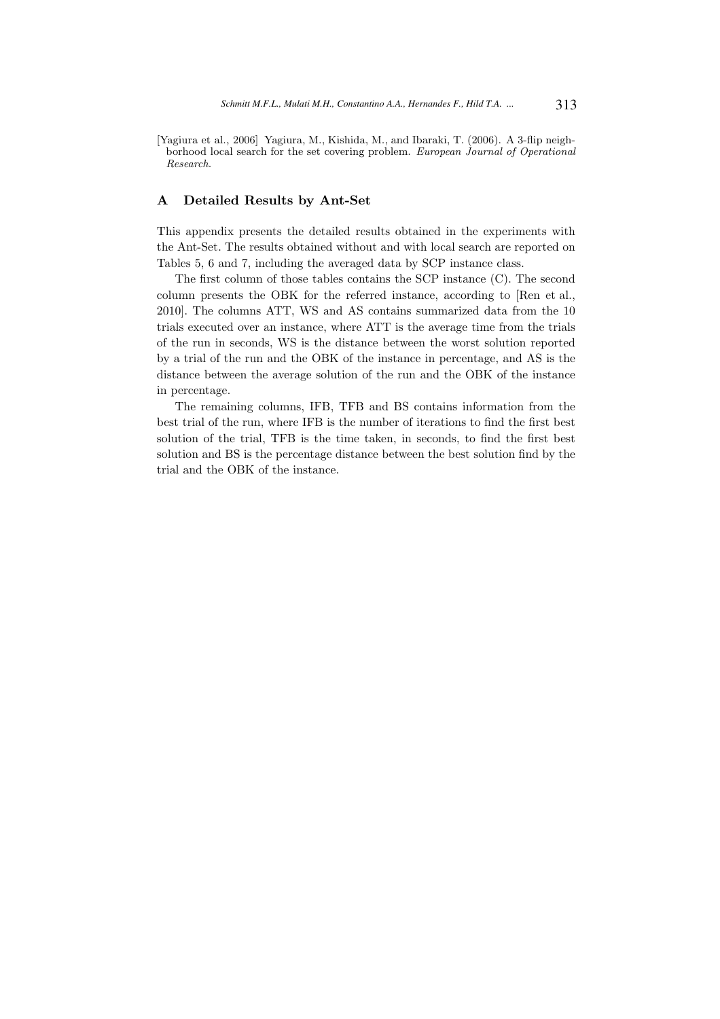[Yagiura et al., 2006] Yagiura, M., Kishida, M., and Ibaraki, T. (2006). A 3-flip neighborhood local search for the set covering problem. *European Journal of Operational Research*.

# A Detailed Results by Ant-Set

This appendix presents the detailed results obtained in the experiments with the Ant-Set. The results obtained without and with local search are reported on Tables 5, 6 and 7, including the averaged data by SCP instance class.

The first column of those tables contains the SCP instance (C). The second column presents the OBK for the referred instance, according to [Ren et al., 2010]. The columns ATT, WS and AS contains summarized data from the 10 trials executed over an instance, where ATT is the average time from the trials of the run in seconds, WS is the distance between the worst solution reported by a trial of the run and the OBK of the instance in percentage, and AS is the distance between the average solution of the run and the OBK of the instance in percentage.

The remaining columns, IFB, TFB and BS contains information from the best trial of the run, where IFB is the number of iterations to find the first best solution of the trial, TFB is the time taken, in seconds, to find the first best solution and BS is the percentage distance between the best solution find by the trial and the OBK of the instance.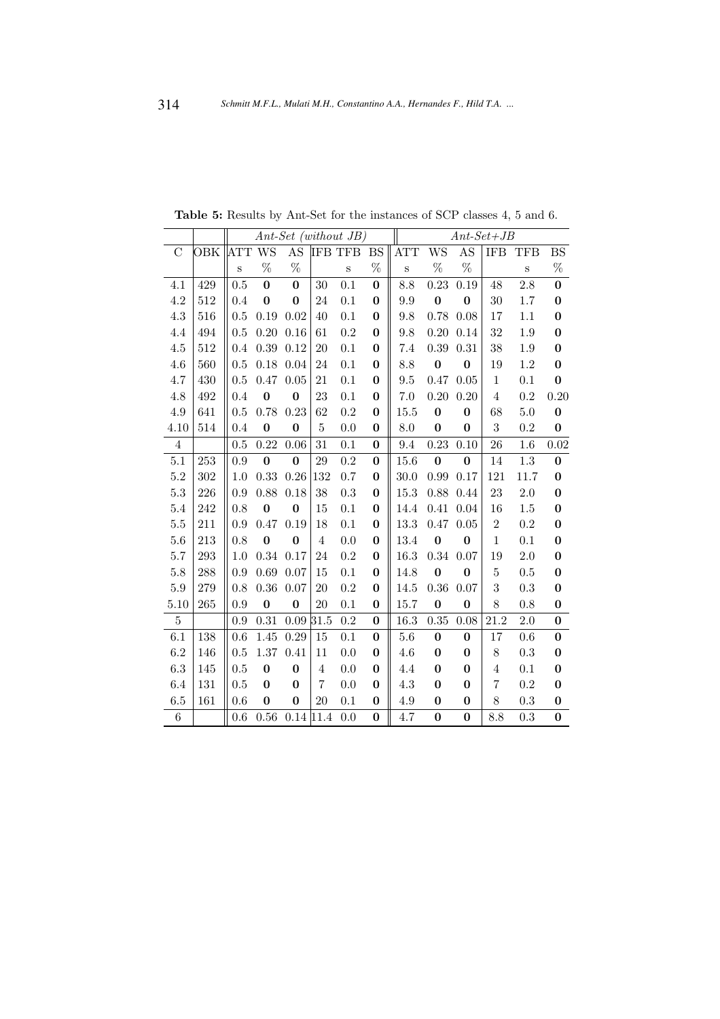|         |         |        |          |           |                | $Ant-Set$ (without JB) |              | $Ant-Set+JB$ |                  |          |                |         |                  |  |  |
|---------|---------|--------|----------|-----------|----------------|------------------------|--------------|--------------|------------------|----------|----------------|---------|------------------|--|--|
| C       | OBK     | ATT WS |          | AS        |                | <b>IFB TFB</b>         | $_{\rm BS}$  | <b>ATT</b>   | WS               | AS       | <b>IFB</b>     | TFB     | BS               |  |  |
|         |         | $\,$ S | %        | %         |                | $\,$ S                 | %            | $\,$ S       | $\%$             | %        |                | $\,$ S  | $\%$             |  |  |
| 4.1     | 429     | 0.5    | $\bf{0}$ | $\bf{0}$  | 30             | 0.1                    | $\bf{0}$     | 8.8          | 0.23             | 0.19     | 48             | 2.8     | $\bf{0}$         |  |  |
| 4.2     | 512     | 0.4    | $\bf{0}$ | $\bf{0}$  | 24             | 0.1                    | $\bf{0}$     | 9.9          | $\bf{0}$         | $\bf{0}$ | 30             | 1.7     | $\bf{0}$         |  |  |
| 4.3     | 516     | 0.5    | 0.19     | 0.02      | 40             | 0.1                    | $\mathbf{0}$ | 9.8          | 0.78             | 0.08     | 17             | 1.1     | $\bf{0}$         |  |  |
| 4.4     | 494     | 0.5    | 0.20     | 0.16      | 61             | 0.2                    | $\bf{0}$     | 9.8          | 0.20             | 0.14     | 32             | 1.9     | $\bf{0}$         |  |  |
| 4.5     | 512     | 0.4    | 0.39     | 0.12      | 20             | 0.1                    | $\bf{0}$     | 7.4          | $0.39\,$         | $0.31\,$ | 38             | 1.9     | $\boldsymbol{0}$ |  |  |
| 4.6     | 560     | 0.5    | 0.18     | 0.04      | 24             | 0.1                    | $\bf{0}$     | 8.8          | $\bf{0}$         | $\bf{0}$ | 19             | 1.2     | $\boldsymbol{0}$ |  |  |
| 4.7     | 430     | 0.5    | 0.47     | $0.05\,$  | 21             | 0.1                    | $\bf{0}$     | $9.5\,$      | 0.47             | 0.05     | $\mathbf{1}$   | 0.1     | $\boldsymbol{0}$ |  |  |
| 4.8     | 492     | 0.4    | $\bf{0}$ | $\bf{0}$  | 23             | 0.1                    | $\mathbf{0}$ | 7.0          | 0.20             | 0.20     | $\overline{4}$ | 0.2     | 0.20             |  |  |
| 4.9     | 641     | 0.5    | 0.78     | 0.23      | 62             | 0.2                    | $\bf{0}$     | 15.5         | $\bf{0}$         | $\bf{0}$ | 68             | 5.0     | $\boldsymbol{0}$ |  |  |
| 4.10    | 514     | 0.4    | $\bf{0}$ | $\bf{0}$  | $\overline{5}$ | 0.0                    | $\bf{0}$     | 8.0          | $\bf{0}$         | $\bf{0}$ | 3              | 0.2     | $\bf{0}$         |  |  |
| 4       |         | 0.5    | 0.22     | 0.06      | 31             | 0.1                    | $\bf{0}$     | 9.4          | 0.23             | 0.10     | 26             | $1.6\,$ | 0.02             |  |  |
| 5.1     | $253\,$ | 0.9    | $\bf{0}$ | $\bf{0}$  | 29             | 0.2                    | $\bf{0}$     | 15.6         | $\bf{0}$         | $\bf{0}$ | 14             | 1.3     | $\bf{0}$         |  |  |
| $5.2\,$ | 302     | 1.0    | 0.33     | 0.26      | 132            | 0.7                    | $\Omega$     | $30.0\,$     | 0.99             | 0.17     | 121            | 11.7    | $\bf{0}$         |  |  |
| $5.3\,$ | 226     | 0.9    | 0.88     | 0.18      | 38             | 0.3                    | $\bf{0}$     | 15.3         | 0.88             | 0.44     | 23             | 2.0     | $\bf{0}$         |  |  |
| 5.4     | 242     | 0.8    | $\bf{0}$ | $\bf{0}$  | 15             | 0.1                    | $\mathbf{0}$ | 14.4         | 0.41             | 0.04     | 16             | 1.5     | $\bf{0}$         |  |  |
| 5.5     | 211     | 0.9    | 0.47     | 0.19      | 18             | 0.1                    | $\bf{0}$     | 13.3         | 0.47             | 0.05     | $\overline{2}$ | 0.2     | $\boldsymbol{0}$ |  |  |
| 5.6     | 213     | 0.8    | $\bf{0}$ | $\bf{0}$  | $\overline{4}$ | 0.0                    | $\bf{0}$     | 13.4         | $\bf{0}$         | $\bf{0}$ | $\,1\,$        | 0.1     | $\bf{0}$         |  |  |
| 5.7     | 293     | 1.0    | 0.34     | 0.17      | 24             | 0.2                    | $\bf{0}$     | 16.3         | 0.34             | 0.07     | 19             | 2.0     | $\bf{0}$         |  |  |
| $5.8\,$ | 288     | 0.9    | 0.69     | 0.07      | 15             | 0.1                    | $\bf{0}$     | 14.8         | $\bf{0}$         | $\bf{0}$ | 5              | 0.5     | $\bf{0}$         |  |  |
| 5.9     | 279     | 0.8    | 0.36     | 0.07      | 20             | 0.2                    | $\mathbf{0}$ | 14.5         | 0.36             | 0.07     | 3              | 0.3     | $\bf{0}$         |  |  |
| 5.10    | 265     | 0.9    | $\bf{0}$ | $\bf{0}$  | 20             | 0.1                    | $\bf{0}$     | 15.7         | $\boldsymbol{0}$ | $\bf{0}$ | 8              | 0.8     | $\bf{0}$         |  |  |
| 5       |         | 0.9    | 0.31     | 0.09      | 31.5           | 0.2                    | $\bf{0}$     | 16.3         | 0.35             | 0.08     | 21.2           | 2.0     | $\bf{0}$         |  |  |
| 6.1     | 138     | 0.6    | 1.45     | 0.29      | 15             | 0.1                    | $\bf{0}$     | 5.6          | $\boldsymbol{0}$ | $\bf{0}$ | 17             | 0.6     | $\bf{0}$         |  |  |
| $6.2\,$ | 146     | 0.5    | 1.37     | 0.41      | 11             | 0.0                    | $\bf{0}$     | $4.6\,$      | $\bf{0}$         | $\bf{0}$ | 8              | 0.3     | $\boldsymbol{0}$ |  |  |
| 6.3     | 145     | 0.5    | $\bf{0}$ | $\bf{0}$  | $\overline{4}$ | 0.0                    | $\bf{0}$     | 4.4          | $\bf{0}$         | $\bf{0}$ | 4              | 0.1     | $\bf{0}$         |  |  |
| 6.4     | 131     | 0.5    | $\bf{0}$ | $\bf{0}$  | 7              | 0.0                    | $\bf{0}$     | $4.3\,$      | $\bf{0}$         | $\bf{0}$ | 7              | 0.2     | $\boldsymbol{0}$ |  |  |
| $6.5\,$ | 161     | 0.6    | $\bf{0}$ | $\bf{0}$  | 20             | 0.1                    | $\bf{0}$     | 4.9          | $\boldsymbol{0}$ | $\bf{0}$ | 8              | 0.3     | 0                |  |  |
| 6       |         | 0.6    | 0.56     | 0.14 11.4 |                | 0.0                    | $\mathbf{0}$ | 4.7          | $\bf{0}$         | $\bf{0}$ | 8.8            | 0.3     | $\mathbf{0}$     |  |  |

Table 5: Results by Ant-Set for the instances of SCP classes 4, 5 and 6.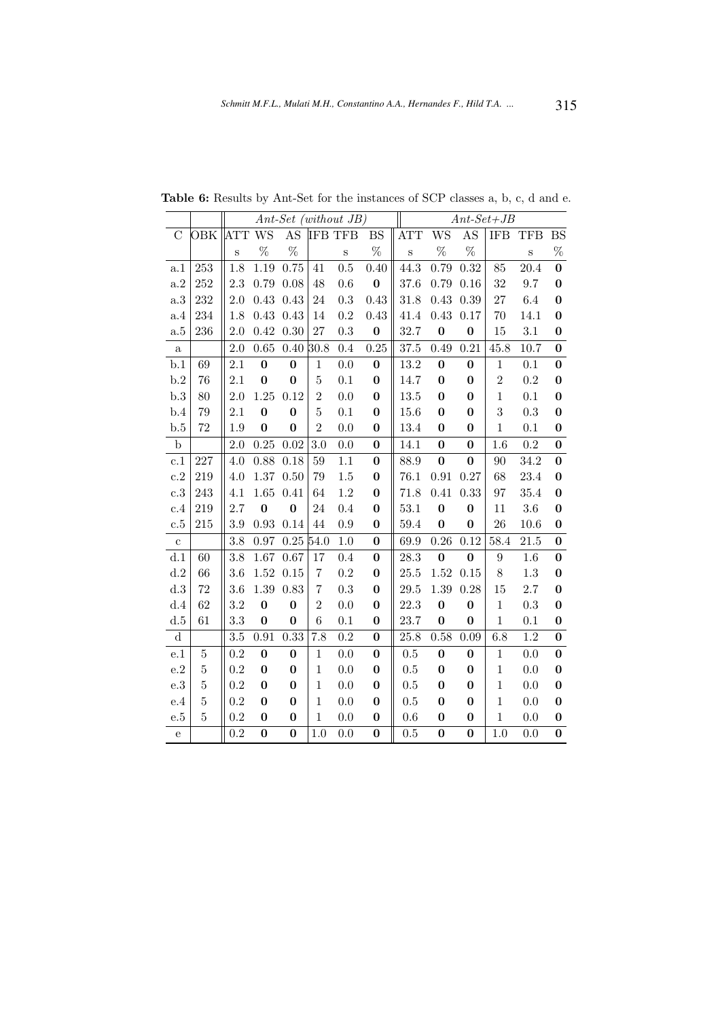|                |                |         |          |          |                | $Ant-Set$ (without JB) | $Ant\text{-}Set+\text{JB}$ |            |           |          |                  |            |                  |
|----------------|----------------|---------|----------|----------|----------------|------------------------|----------------------------|------------|-----------|----------|------------------|------------|------------------|
| $\overline{C}$ | OBK            | ATT WS  |          | AS       |                | <b>IFB TFB</b>         | <b>BS</b>                  | <b>ATT</b> | <b>WS</b> | AS       | <b>IFB</b>       | <b>TFB</b> | <b>BS</b>        |
|                |                | S       | %        | $\%$     |                | S                      | $\%$                       | $\,$ S     | %         | $\%$     |                  | $\rm S$    | $\%$             |
| a.1            | 253            | 1.8     | 1.19     | 0.75     | 41             | 0.5                    | 0.40                       | 44.3       | 0.79      | 0.32     | 85               | 20.4       | $\bf{0}$         |
| a.2            | 252            | 2.3     | 0.79     | 0.08     | 48             | 0.6                    | $\bf{0}$                   | 37.6       | 0.79      | 0.16     | 32               | 9.7        | $\bf{0}$         |
| $\rm{a.3}$     | 232            | 2.0     | 0.43     | 0.43     | 24             | $\rm 0.3$              | 0.43                       | 31.8       | 0.43      | 0.39     | 27               | 6.4        | $\bf{0}$         |
| a.4            | 234            | 1.8     | 0.43     | 0.43     | 14             | $0.2\,$                | 0.43                       | 41.4       | 0.43      | $0.17\,$ | 70               | 14.1       | $\bf{0}$         |
| a.5            | 236            | 2.0     | 0.42     | 0.30     | $27\,$         | 0.3                    | $\bf{0}$                   | 32.7       | $\bf{0}$  | $\bf{0}$ | 15               | 3.1        | $\bf{0}$         |
| $\rm{a}$       |                | 2.0     | 0.65     | $0.40\,$ | 30.8           | 0.4                    | 0.25                       | 37.5       | 0.49      | 0.21     | 45.8             | 10.7       | $\bf{0}$         |
| b.1            | 69             | 2.1     | $\bf{0}$ | $\bf{0}$ | $\mathbf 1$    | 0.0                    | $\bf{0}$                   | 13.2       | $\bf{0}$  | $\bf{0}$ | $\mathbf 1$      | 0.1        | $\bf{0}$         |
| b.2            | 76             | 2.1     | $\bf{0}$ | $\bf{0}$ | $\overline{5}$ | 0.1                    | $\bf{0}$                   | 14.7       | $\bf{0}$  | $\bf{0}$ | $\overline{2}$   | $\rm 0.2$  | $\bf{0}$         |
| b.3            | 80             | 2.0     | 1.25     | 0.12     | $\overline{2}$ | 0.0                    | $\bf{0}$                   | 13.5       | $\bf{0}$  | 0        | $\mathbf 1$      | 0.1        | $\bf{0}$         |
| b.4            | 79             | 2.1     | $\bf{0}$ | $\bf{0}$ | $\overline{5}$ | 0.1                    | $\bf{0}$                   | 15.6       | $\bf{0}$  | $\bf{0}$ | 3                | 0.3        | $\bf{0}$         |
| b.5            | 72             | 1.9     | $\bf{0}$ | $\bf{0}$ | $\overline{2}$ | 0.0                    | $\bf{0}$                   | 13.4       | $\bf{0}$  | $\bf{0}$ | $\mathbf{1}$     | 0.1        | $\bf{0}$         |
| $\mathbf b$    |                | $2.0\,$ | 0.25     | 0.02     | 3.0            | 0.0                    | $\bf{0}$                   | 14.1       | $\bf{0}$  | $\bf{0}$ | 1.6              | 0.2        | $\bf{0}$         |
| c.1            | 227            | 4.0     | 0.88     | 0.18     | $59\,$         | 1.1                    | $\bf{0}$                   | 88.9       | $\bf{0}$  | $\bf{0}$ | 90               | 34.2       | $\bf{0}$         |
| $\rm c.2$      | 219            | 4.0     | 1.37     | 0.50     | 79             | 1.5                    | $\bf{0}$                   | 76.1       | 0.91      | 0.27     | 68               | 23.4       | $\bf{0}$         |
| c.3            | 243            | 4.1     | 1.65     | 0.41     | 64             | 1.2                    | $\bf{0}$                   | 71.8       | 0.41      | 0.33     | 97               | 35.4       | $\bf{0}$         |
| c.4            | 219            | 2.7     | $\bf{0}$ | $\bf{0}$ | 24             | 0.4                    | $\bf{0}$                   | 53.1       | $\bf{0}$  | $\bf{0}$ | 11               | $3.6\,$    | $\bf{0}$         |
| c.5            | 215            | $3.9\,$ | 0.93     | 0.14     | 44             | 0.9                    | $\bf{0}$                   | 59.4       | $\bf{0}$  | $\bf{0}$ | 26               | 10.6       | $\bf{0}$         |
| $\mathbf{c}$   |                | 3.8     | 0.97     | $0.25\,$ | 54.0           | 1.0                    | $\bf{0}$                   | 69.9       | 0.26      | 0.12     | 58.4             | 21.5       | $\bf{0}$         |
| d.1            | 60             | 3.8     | 1.67     | 0.67     | 17             | 0.4                    | $\bf{0}$                   | 28.3       | $\bf{0}$  | $\bf{0}$ | $\boldsymbol{9}$ | 1.6        | $\bf{0}$         |
| d.2            | 66             | 3.6     | 1.52     | 0.15     | $\!\!7$        | $\rm 0.2$              | $\bf{0}$                   | 25.5       | 1.52      | 0.15     | 8                | $1.3\,$    | $\boldsymbol{0}$ |
| d.3            | 72             | 3.6     | 1.39     | 0.83     | $\overline{7}$ | 0.3                    | $\bf{0}$                   | 29.5       | 1.39      | 0.28     | 15               | 2.7        | $\bf{0}$         |
| d.4            | 62             | 3.2     | $\bf{0}$ | $\bf{0}$ | $\overline{2}$ | 0.0                    | $\bf{0}$                   | 22.3       | $\bf{0}$  | $\bf{0}$ | $\mathbf{1}$     | 0.3        | $\bf{0}$         |
| d.5            | 61             | 3.3     | $\bf{0}$ | $\bf{0}$ | $\overline{6}$ | 0.1                    | $\bf{0}$                   | 23.7       | $\bf{0}$  | $\bf{0}$ | $\mathbf{1}$     | 0.1        | $\bf{0}$         |
| ${\rm d}$      |                | 3.5     | 0.91     | 0.33     | 7.8            | 0.2                    | $\bf{0}$                   | $25.8\,$   | 0.58      | 0.09     | 6.8              | 1.2        | $\bf{0}$         |
| e.1            | $\bf 5$        | 0.2     | $\bf{0}$ | $\bf{0}$ | $\mathbf{1}$   | 0.0                    | $\bf{0}$                   | 0.5        | $\bf{0}$  | $\bf{0}$ | $\mathbf{1}$     | 0.0        | $\bf{0}$         |
| e.2            | $\overline{5}$ | 0.2     | $\bf{0}$ | $\bf{0}$ | $\mathbf{1}$   | 0.0                    | $\bf{0}$                   | 0.5        | $\bf{0}$  | $\bf{0}$ | $\mathbf{1}$     | 0.0        | $\bf{0}$         |
| e.3            | $\bf 5$        | 0.2     | $\bf{0}$ | $\bf{0}$ | $\mathbf{1}$   | 0.0                    | $\bf{0}$                   | 0.5        | $\bf{0}$  | $\bf{0}$ | $\mathbf 1$      | 0.0        | $\bf{0}$         |
| e.4            | $\bf 5$        | 0.2     | $\bf{0}$ | $\bf{0}$ | $\mathbf{1}$   | $0.0\,$                | $\bf{0}$                   | $0.5\,$    | $\bf{0}$  | $\bf{0}$ | $\mathbf 1$      | 0.0        | $\bf{0}$         |
| $_{\rm e.5}$   | $\bf 5$        | 0.2     | $\bf{0}$ | $\bf{0}$ | $\mathbf{1}$   | 0.0                    | $\boldsymbol{0}$           | 0.6        | $\bf{0}$  | 0        | $\mathbf 1$      | 0.0        | $\bf{0}$         |
| ${\bf e}$      |                | 0.2     | $\bf{0}$ | $\bf{0}$ | 1.0            | 0.0                    | $\bf{0}$                   | 0.5        | $\bf{0}$  | $\bf{0}$ | 1.0              | 0.0        | $\bf{0}$         |

Table 6: Results by Ant-Set for the instances of SCP classes a, b, c, d and e.